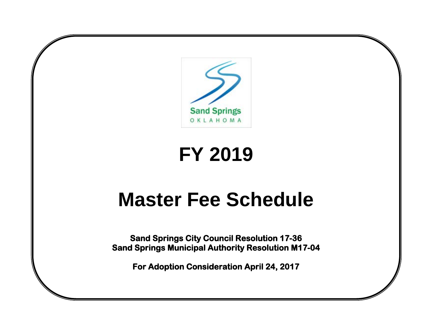

# **FY 2019**

# **Master Fee Schedule**

**Sand Springs City Council Resolution 17-36 Sand Springs Municipal Authority Resolution M17-04** 

**For Adoption Consideration April 24, 2017**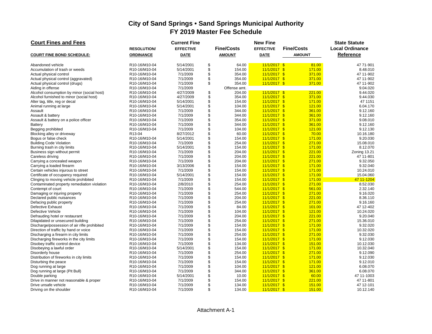| <b>Court Fines and Fees</b>                              |                                | <b>Current Fine</b>   |                  |                   | <b>New Fine</b>                  |                   | <b>State Statute</b>   |
|----------------------------------------------------------|--------------------------------|-----------------------|------------------|-------------------|----------------------------------|-------------------|------------------------|
|                                                          | <b>RESOLUTION</b>              | <b>EFFECTIVE</b>      |                  | <b>Fine/Costs</b> | <b>EFFECTIVE</b>                 | <b>Fine/Costs</b> | <b>Local Ordinance</b> |
| <b>COURT FINE BOND SCHEDULE:</b>                         | <b>ORDINANCE</b>               | <b>DATE</b>           |                  | <b>AMOUNT</b>     | <b>DATE</b>                      | <b>AMOUNT</b>     | Reference              |
| Abandoned vehicle                                        | R10-16/M10-04                  | 5/14/2001             | \$               | 64.00             | $11/1/2017$ \$                   | 81.00             | 47 71-901              |
| Accumulation of trash or weeds                           | R10-16/M10-04                  | 5/14/2001             | $\ddot{s}$       | 154.00            | $11/1/2017$ \$                   | 171.00            | 8.48.010               |
| Actual physical control                                  | R10-16/M10-04                  | 7/1/2009              | \$               | 354.00            | $11/1/2017$ \$                   | 371.00            | 47 11-902              |
| Actual physical control (aggravated)                     | R10-16/M10-04                  | 7/1/2009              | \$               | 354.00            | $11/1/2017$ \$                   | 371.00            | 47 11-902              |
| Actual physical control (drugs)                          | R10-16/M10-04                  | 7/1/2009              | \$               | 354.00            | $11/1/2017$ \$                   | 371.00            | 47 11-902              |
| Aiding in offense                                        | R10-16/M10-04                  | 7/1/2009              |                  | Offense amt.      |                                  |                   | 9.04.020               |
| Alcohol consumption by minor (social host)               | R10-16/M10-04                  | 4/27/2009             | \$               | 204.00            | $11/1/2017$ \$                   | 221.00            | 9.44.020               |
| Alcohol furnished to minor (social host)                 | R10-16/M10-04                  | 4/27/2009             | \$               | 354.00            | $11/1/2017$ \$                   | 371.00            | 9.44.030               |
| Alter tag, title, reg or decal                           | R10-16/M10-04                  | 5/14/2001             | \$               | 154.00            | $11/1/2017$ \$                   | 171.00            | 47 1151                |
| Animal running at large                                  | R10-16/M10-04                  | 5/14/2001             | \$               | 104.00            | $11/1/2017$ \$                   | 121.00            | 6.04.170               |
| Assault                                                  | R10-16/M10-04                  | 7/1/2009              | $\ddot{\$}$      | 344.00            | $11/1/2017$ \$                   | 361.00            | 9.12.160               |
| Assault & battery                                        | R10-16/M10-04                  | 7/1/2009              | $\ddot{s}$       | 344.00            | $11/1/2017$ \$                   | 361.00            | 9.12.160               |
| Assault & battery on a police officer                    | R10-16/M10-04                  | 7/1/2009              | \$               | 354.00            | $11/1/2017$ \$                   | 371.00            | 9.08.010               |
| <b>Battery</b>                                           | R10-16/M10-04                  | 7/1/2009              | \$               | 344.00            | $11/1/2017$ \$                   | 361.00            | 9.12.160               |
| Begging prohibited                                       | R10-16/M10-04                  | 7/1/2009              | \$               | 104.00            | $11/1/2017$ \$                   | 121.00            | 9.12.130               |
| Blocking alley or driveway                               | R13-04                         | 8/27/2012             | \$               | 60.00             | $11/1/2017$ \$                   | 70.00             | 10.16.180              |
| Boqus or false check                                     | R10-16/M10-04                  | 5/14/2001             | \$               | 154.00            | $11/1/2017$ \$                   | 171.00            | 9.20.030               |
| <b>Building Code Violation</b>                           | R10-16/M10-04                  | 7/1/2009              | \$               | 254.00            | $11/1/2017$ \$                   | 271.00            | 15.08.010              |
| Burning trash in city limits                             | R10-16/M10-04                  | 5/14/2001             | \$               | 154.00            | $11/1/2017$ \$                   | 171.00            | 8.12.070               |
| Business sign without permit                             | R10-16/M10-04                  | 7/1/2009              | \$               | 204.00            | $11/1/2017$ \$                   | 221.00            | Zoning 13.21           |
| Careless driving                                         | R10-16/M10-04                  | 7/1/2009              | \$               | 204.00            | $11/1/2017$ \$                   | 221.00            | 47 11-801              |
| Carrying a concealed weapon<br>Carrying a loaded firearm | R10-16/M10-04<br>R10-16/M10-04 | 7/1/2009<br>3/13/2006 | \$<br>$\ddot{s}$ | 204.00<br>154.00  | $11/1/2017$ \$<br>$11/1/2017$ \$ | 271.00<br>171.00  | 9.32.050<br>9.32.040   |
| Certain vehicles injurous to street                      | R10-16/M10-04                  | 7/1/2009              | \$               | 154.00            | $11/1/2017$ \$                   | 171.00            | 10.24.010              |
| Certificate of occupancy required                        | R10-16/M10-04                  | 5/14/2001             | \$               | 154.00            | $11/1/2017$ \$                   | 171.00            | 15.04.060              |
| Clinging to moving vehicle prohibited                    | R10-16/M10-04                  | 7/1/2009              | \$               | 154.00            | $11/1/2017$ \$                   | 171.00            | 47 11-1204             |
| Contaminated property remediation violation              | R10-16/M10-04                  | 2/8/2010              | \$               | 254.00            | $11/1/2017$ \$                   | 271.00            | 8.52.030               |
| Contempt of court                                        | R10-16/M10-04                  | 7/1/2009              | \$               | 544.00            | $11/1/2017$ \$                   | 561.00            | 2.32.140               |
| Damaging or injuring property                            | R10-16/M10-04                  | 7/1/2009              | \$               | 254.00            | $11/1/2017$ \$                   | 271.00            | 9.16.020               |
| Declared public nuisances                                | R10-16/M10-04                  | 7/1/2009              | $\ddot{\$}$      | 204.00            | $11/1/2017$ \$                   | 221.00            | 8.36.110               |
| Defacing public property                                 | R10-16/M10-04                  | 7/1/2009              | \$               | 254.00            | $11/1/2017$ \$                   | 271.00            | 9.16.160               |
| <b>Defective Exhaust</b>                                 | R10-16/M10-04                  | 7/1/2009              | \$               | 84.00             | $11/1/2017$ \$                   | 101.00            | 47 12-402              |
| Defective Vehicle                                        | R10-16/M10-04                  | 7/1/2009              | \$               | 104.00            | $11/1/2017$ \$                   | 121.00            | 10.24.020              |
| Defrauding hotel or restaurant                           | R10-16/M10-04                  | 7/1/2009              | \$               | 204.00            | $11/1/2017$ \$                   | 221.00            | 9.20.040               |
| Dilapidated or unsecured building                        | R10-16/M10-04                  | 7/1/2009              | \$               | 254.00            | $11/1/2017$ \$                   | 271.00            | 15.36.010              |
| Discharge/possession of air rifle prohibited             | R10-16/M10-04                  | 7/1/2009              | \$               | 154.00            | $11/1/2017$ \$                   | 171.00            | 9.32.020               |
| Direction of traffic by hand or voice                    | R10-16/M10-04                  | 7/1/2009              | \$               | 154.00            | $11/1/2017$ \$                   | 171.00            | 10.32.020              |
| Discharging a firearm in city limits                     | R10-16/M10-04                  | 7/1/2009              | \$               | 254.00            | $11/1/2017$ \$                   | 271.00            | 9.32.030               |
| Discharging fireworks in the city limits                 | R10-16/M10-04                  | 7/1/2009              | \$               | 154.00            | $11/1/2017$ \$                   | 171.00            | 9.12.030               |
| Disobey traffic control device                           | R10-16/M10-04                  | 7/1/2009              |                  | 134.00            | $11/1/2017$ \$                   | 151.00            | 10.12.030              |
| Disobeying a lawful order                                | R10-16/M10-04                  | 5/14/2001             | \$               | 154.00            | $11/1/2017$ \$                   | 171.00            | 10.32.040              |
| Disorderly house                                         | R10-16/M10-04                  | 7/1/2009              | \$               | 254.00            | $11/1/2017$ \$                   | 271.00            | 9.12.090               |
| Distribution of fireworks in city limits                 | R10-16/M10-04                  | 7/1/2009              | \$               | 154.00            | $11/1/2017$ \$                   | 171.00            | 9.12.030               |
| Disturbing the peace                                     | R10-16/M10-04                  | 7/1/2009              | \$               | 154.00            | $11/1/2017$ \$                   | 171.00            | 9.12.010               |
| Dog running at large                                     | R10-16/M10-04                  | 7/1/2009              | \$               | 104.00            | $11/1/2017$ \$                   | 121.00            | 6.08.070               |
| Dog running at large (Pit Bull)                          | R10-16/M10-04                  | 7/1/2009              | \$               | 344.00            | $11/1/2017$ \$                   | 361.00            | 6.08.070               |
| Double parking                                           | R10-16/M10-04                  | 5/14/2001             | \$               | 10.00             | $11/1/2017$ \$                   | 60.00             | 47 11-1003             |
| Drive in manner not reasonable & proper                  | R10-16/M10-04                  | 7/1/2009              | \$               | 154.00            | $11/1/2017$ \$                   | 221.00            | 47 11-801              |
| Drive unsafe vehicle                                     | R10-16/M10-04                  | 7/1/2009              | \$               | 134.00            | $11/1/2017$ \$                   | 151.00            | 47 12-101              |
| Driving on the shoulder                                  | R10-16/M10-04                  | 7/1/2009              | \$               | 134.00            | $11/1/2017$ \$                   | 151.00            | 10.12.140              |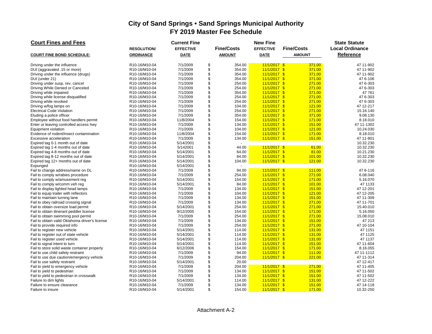| <b>Court Fines and Fees</b>                    |                                         | <b>Current Fine</b> |             |                   | <b>New Fine</b>  |                   | <b>State Statute</b>   |
|------------------------------------------------|-----------------------------------------|---------------------|-------------|-------------------|------------------|-------------------|------------------------|
|                                                | <b>RESOLUTION</b>                       | <b>EFFECTIVE</b>    |             | <b>Fine/Costs</b> | <b>EFFECTIVE</b> | <b>Fine/Costs</b> | <b>Local Ordinance</b> |
| <b>COURT FINE BOND SCHEDULE:</b>               | <b>ORDINANCE</b>                        | <b>DATE</b>         |             | <b>AMOUNT</b>     | <b>DATE</b>      | <b>AMOUNT</b>     | Reference              |
| Driving under the influence                    | R10-16/M10-04                           | 7/1/2009            | \$          | 354.00            | $11/1/2017$ \$   | 371.00            | 47 11-902              |
| DUI (aggravated .15 or more)                   | R10-16/M10-04                           | 7/1/2009            | $\ddot{\$}$ | 354.00            | $11/1/2017$ \$   | 371.00            | 47 11-902              |
| Driving under the influence (drugs)            | R10-16/M10-04                           | 7/1/2009            | \$          | 354.00            | $11/1/2017$ \$   | 371.00            | 47 11-902              |
| DUI (under 21)                                 | R10-16/M10-04                           | 7/1/2009            | \$          | 354.00            | $11/1/2017$ \$   | 371.00            | 47 6-106               |
| Driving under susp, rev, cancel                | R10-16/M10-04                           | 7/1/2009            | \$          | 254.00            | $11/1/2017$ \$   | 271.00            | 47 6-303               |
| Driving While Denied or Canceled               | R10-16/M10-04                           | 7/1/2009            | $\ddot{\$}$ | 254.00            | $11/1/2017$ \$   | 271.00            | 47 6-303               |
| Driving while impaired                         | R10-16/M10-04                           | 7/1/2009            | \$          | 354.00            | $11/1/2017$ \$   | 371.00            | 47 761                 |
| Driving while license disqualified             | R10-16/M10-04                           | 7/1/2009            | \$          | 254.00            | $11/1/2017$ \$   | 271.00            | 47 6-303               |
| Driving while revoked                          | R10-16/M10-04                           | 7/1/2009            | $\ddot{\$}$ | 254.00            | $11/1/2017$ \$   | 271.00            | 47 6-303               |
| Driving w/fog lamps on                         | R10-16/M10-04                           | 7/1/2009            | \$          | 104.00            | $11/1/2017$ \$   | 121.00            | 47 12-217              |
| <b>Electrical Code Violation</b>               | R10-16/M10-04                           | 7/1/2009            | \$          | 254.00            | $11/1/2017$ \$   | 271.00            | 15.16.140              |
| Eluding a police officer                       | R10-16/M10-04                           | 7/1/2009            | \$          | 354.00            | $11/1/2017$ \$   | 371.00            | 9.08.130               |
| Employee without food handlers permit          | R10-16/M10-04                           | 11/8/2004           | \$          | 154.00            | $11/1/2017$ \$   | 171.00            | 8.18.010               |
| Enter or leaving controlled access hwy         | R10-16/M10-04                           | 7/1/2009            | \$          | 134.00            | $11/1/2017$ \$   | 151.00            | 47 11-1302             |
| Equipment violation                            | R10-16/M10-04                           | 7/1/2009            | \$          | 104.00            | $11/1/2017$ \$   | 121.00            | 10.24.030              |
| Evidence of rodent/insect contamination        | R10-16/M10-04                           | 11/8/2004           | $\ddot{\$}$ | 154.00            | $11/1/2017$ \$   | 171.00            | 8.18.010               |
| Excessive acceleration                         | R10-16/M10-04                           | 7/1/2009            | \$          | 134.00            | $11/1/2017$ \$   | 151.00            | 47 11-801              |
| Expired tag 0-1 month out of date              | R10-16/M10-04                           | 5/14/2001           | \$          |                   |                  |                   | 10.32.230              |
| Expired tag 1-4 months out of date             | R10-16/M10-04                           | 5/142001            | \$          | 44.00             | $11/1/2017$ \$   | 61.00             | 10.32.230              |
| Expired tag 4-8 months out of date             | R10-16/M10-04                           | 5/14/2001           | \$          | 64.00             | $11/1/2017$ \$   | 81.00             | 10.21.230              |
| Expired tag 8-12 months out of date            | R10-16/M10-04                           | 5/14/2001           | \$          | 84.00             | 11/1/2017 \$     | 101.00            | 10.32.230              |
| Expired tag 12+ months out of date             | R10-16/M10-04                           | 5/14/2001           | \$          | 104.00            | $11/1/2017$ \$   | 121.00            | 10.32.230              |
| Expunged                                       | R10-16/M10-04                           | 5/14/2001           | \$          |                   |                  |                   |                        |
| Fail to change address/name on DL              | R10-16/M10-04                           | 7/1/2009            | \$          | 94.00             | $11/1/2017$ \$   | 111.00            | 47 6-116               |
| Fail to comply w/rabies procedure              | R10-16/M10-04                           | 7/1/2009            | \$          | 254.00            | $11/1/2017$ \$   | 271.00            | 6.08.040               |
| Fail to comply w/amusement reg                 | R10-16/M10-04                           | 5/14/2001           | \$          | 154.00            | $11/1/2017$ \$   | 171.00            | 5.16.070               |
| Fail to comply w/comm veh reg                  | R10-16/M10-04                           | 5/14/2001           | \$          | 84.00             | $11/1/2017$ \$   | 101.00            | 47 1133                |
| Fail to display lighted head lamps             | R10-16/M10-04                           | 7/1/2009            | \$          | 134.00            | $11/1/2017$ \$   | 151.00            | 47 12-201              |
| Fail to equip trailer with reflectors          | R10-16/M10-04                           | 7/1/2009            | \$          | 104.00            | $11/1/2017$ \$   | 121.00            | 47 12-205              |
| Fail to maintain turning lane                  | R10-16/M10-04                           | 7/1/2009            | \$          | 134.00            | $11/1/2017$ \$   | 151.00            | 47 11-309              |
| Fail to obey railroad crossing signal          | R10-16/M10-04                           | 7/1/2009            | \$          | 134.00            | $11/1/2017$ \$   | 271.00            | 47 11-701              |
| Fail to obtain oversize load permit            | R10-16/M10-04                           | 5/14/2001           | \$          | 254.00            | $11/1/2017$ \$   | 271.00            | 15.40.010              |
| Fail to obtain itinerant peddler license       | R10-16/M10-04                           | 9/12/2005           | \$          | 154.00            | $11/1/2017$ \$   | 171.00            | 5.16.050               |
| Fail to obtain swimming pool permit            | R10-16/M10-04                           | 7/1/2009            | \$          | 254.00            | $11/1/2017$ \$   | 271.00            | 15.08.010              |
| Fail to obtain valid Oklahoma driver's license | R10-16/M10-04                           | 7/1/2009            | \$          | 134.00            | $11/1/2017$ \$   | 151.00            | 47 213                 |
| Fail to provide required info                  | R10-16/M10-04                           | 7/1/2009            | \$          | 254.00            | $11/1/2017$ \$   | 271.00            | 47 10-104              |
| Fail to register new vehicle                   | R10-16/M10-04                           | 5/14/2001           | \$          | 114.00            | $11/1/2017$ \$   | 131.00            | 47 1151                |
| Fail to register out of state vehicle          | R10-16/M10-04                           | 5/14/2001           | \$          | 114.00            | $11/1/2017$ \$   | 131.00            | 47 1125                |
| Fail to register used vehicle                  | R10-16/M10-04                           | 5/14/2001           | \$          | 114.00            | 11/1/2017 \$     | 131.00            | 47 1137                |
| Fail to signal intent to turn                  | R10-16/M10-04                           | 5/14/2001           | \$          | 114.00            | $11/1/2017$ \$   | 151.00            | 47 11-604              |
| Fail to store solid waste container properly   | R10-16/M10-04                           | 6/12/2006           | $\ddot{s}$  | 154.00            | $11/1/2017$ \$   | 171.00            | 8.16.055               |
| Fail to use child safety restraint             | R <sub>10</sub> -16/M <sub>10</sub> -04 | 7/1/2009            | \$          | 94.00             | $11/1/2017$ \$   | 111.00            | 47 11-1112             |
| Fail to use due caution/emergency vehicle      | R10-16/M10-04                           | 7/1/2009            | \$          | 204.00            | $11/1/2017$ \$   | 221.00            | 47 11-314              |
| Fail to use safety restraint                   | R10-16/M10-04                           | 5/14/2001           | \$          | 20.00             |                  |                   | 47 12-417              |
| Fail to yield to emergency vehicle             | R10-16/M10-04                           | 7/1/2009            | $\ddot{\$}$ | 204.00            | $11/1/2017$ \$   | 271.00            | 47 11-405              |
| Fail to yield to pedestrian                    | R10-16/M10-04                           | 7/1/2009            | \$          | 134.00            | $11/1/2017$ \$   | 151.00            | 47 11-502              |
| Fail to yield to pedestrian in crosswalk       | R10-16/M10-04                           | 7/1/2009            | \$          | 134.00            | $11/1/2017$ \$   | 151.00            | 47 11-502              |
| Failure to dim lights                          | R10-16/M10-04                           | 5/14/2001           | \$          | 114.00            | $11/1/2017$ \$   | 131.00            | 47 12-222              |
| Failure to ensure clearance                    | R10-16/M10-04                           | 7/1/2009            | \$          | 134.00            | $11/1/2017$ \$   | 151.00            | 47 14-118              |
| Failure to insure                              | R10-16/M10-04                           | 5/14/2001           | \$          | 154.00            | $11/1/2017$ \$   | 171.00            | 10.32-250              |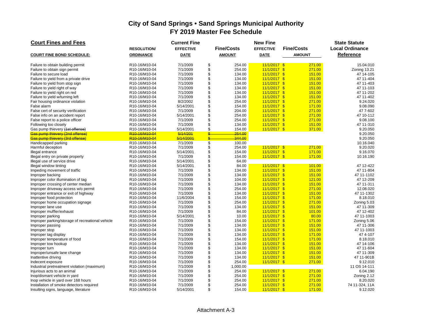| <b>Court Fines and Fees</b>                                      |                                         | <b>Current Fine</b>  |                          |                   | <b>New Fine</b>                  |                   | <b>State Statute</b>    |
|------------------------------------------------------------------|-----------------------------------------|----------------------|--------------------------|-------------------|----------------------------------|-------------------|-------------------------|
|                                                                  | <b>RESOLUTION</b>                       | <b>EFFECTIVE</b>     |                          | <b>Fine/Costs</b> | <b>EFFECTIVE</b>                 | <b>Fine/Costs</b> | <b>Local Ordinance</b>  |
| <b>COURT FINE BOND SCHEDULE:</b>                                 | <b>ORDINANCE</b>                        | <b>DATE</b>          |                          | <b>AMOUNT</b>     | <b>DATE</b>                      | <b>AMOUNT</b>     | Reference               |
| Failure to obtain building permit                                | R10-16/M10-04                           | 7/1/2009             | \$                       | 254.00            | $11/1/2017$ \$                   | 271.00            | 15.04.010               |
| Failure to obtain sign permit                                    | R10-16/M10-04                           | 7/1/2009             | \$                       | 254.00            | $11/1/2017$ \$                   | 271.00            | Zoning 13.21            |
| Failure to secure load                                           | R10-16/M10-04                           | 7/1/2009             | \$                       | 134.00            | $11/1/2017$ \$                   | 151.00            | 47 14-105               |
| Failure to yield from a private drive                            | R10-16/M10-04                           | 7/1/2009             | \$                       | 134.00            | $11/1/2017$ \$                   | 151.00            | 47 11-404               |
| Failure to yield from stop sign                                  | R10-16/M10-04                           | 7/1/2009             | \$                       | 134.00            | $11/1/2017$ \$                   | 151.00            | 47 11-403               |
| Failure to yield right of way                                    | R10-16/M10-04                           | 7/1/2009             | \$                       | 134.00            | $11/1/2017$ \$                   | 151.00            | 47 11-103               |
| Failure to yield right on red                                    | R10-16/M10-04                           | 7/1/2009             | \$                       | 134.00            | $11/1/2017$ \$                   | 151.00            | 47 11-202               |
| Failure to yield w/turning left                                  | R10-16/M10-04                           | 7/1/2009             | \$                       | 134.00            | $11/1/2017$ \$                   | 151.00            | 47 11-402               |
| Fair housing ordinance violation                                 | R10-16/M10-04                           | 8/2/2002             | \$                       | 254.00            | $11/1/2017$ \$                   | 271.00            | 9.24.020                |
| False alarm                                                      | R10-16/M10-04                           | 5/14/2001            | \$                       | 154.00            | $11/1/2017$ \$                   | 171.00            | 9.08.090                |
| False cert of security verification                              | R10-16/M10-04                           | 7/1/2009             | \$                       | 204.00            | $11/1/2017$ \$                   | 271.00            | 47 7-602                |
| False info on an accident report                                 | R10-16/M10-04                           | 5/14/2001            | \$                       | 254.00            | $11/1/2017$ \$                   | 271.00            | 47 10-112               |
| False report to a police officer                                 | R10-16/M10-04                           | 7/1/2009             | \$                       | 254.00            | $11/1/2017$ \$                   | 271.00            | 9.08.100                |
| Following too closely                                            | R10-16/M10-04                           | 7/1/2009             | \$                       | 134.00            | $11/1/2017$ \$                   | 151.00            | 47 11-310               |
| Gas pump thievery (1st offense)                                  | R10-16/M10-04                           | 5/14/2001            | \$                       | 154.00            | $11/1/2017$ \$                   | 371.00            | 9.20.050                |
| Gas pump thievery (2nd offense)                                  | R10-16/M10-04                           | 5/14/201             | $\frac{2}{\pi}$          | 254.00            |                                  |                   | 9.20.050                |
| Gas pump thievery (3rd offense)                                  | R10-16/M10-04                           | 5/14/2001            | $\frac{2}{3}$            | 344.00            |                                  |                   | 9.20.050                |
| Handicapped parking                                              | R10-16/M10-04                           | 7/1/2009             | $\overline{\mathcal{S}}$ | 100.00            |                                  |                   | 10.16.040               |
| Harmful deception                                                | R10-16/M10-04                           | 7/1/2009             | \$                       | 254.00            | $11/1/2017$ \$                   | 271.00            | 9.20.020                |
| Illegal entrance                                                 | R10-16/M10-04                           | 5/14/2001            | \$                       | 154.00            | $11/1/2017$ \$                   | 171.00            | 9.16.070                |
| Illegal entry on private property                                | R10-16/M10-04                           | 7/1/2009             | \$                       | 154.00            | $11/1/2017$ \$                   | 171.00            | 10.16.190               |
| Illegal use of service drive                                     | R10-16/M10-04                           | 5/14/2001            | \$                       | 64.00             |                                  |                   |                         |
| Illegal window tinting                                           | R10-16/M10-04                           | 5/14/2001            | \$                       | 84.00             | $11/1/2017$ \$                   | 101.00            | 47 12-422               |
| Impeding movement of traffic                                     | R10-16/M10-04                           | 7/1/2009             | \$                       | 134.00            | $11/1/2017$ \$                   | 151.00            | 47 11-804               |
| Improper backing                                                 | R10-16/M10-04                           | 7/1/2009             | \$<br>\$                 | 134.00            | $11/1/2017$ \$<br>$11/1/2017$ \$ | 151.00<br>121.00  | 47 11-1102<br>47 12-209 |
| Improper color illumination of tag                               | R10-16/M10-04                           | 7/1/2009             | \$                       | 104.00            |                                  |                   | 47 11-311               |
| Improper crossing of center median                               | R10-16/M10-04<br>R10-16/M10-04          | 7/1/2009<br>7/1/2009 | \$                       | 134.00<br>254.00  | $11/1/2017$ \$<br>$11/1/2017$ \$ | 151.00<br>271.00  | 12.08.020               |
| Improper driveway access w/o permit                              |                                         | 7/1/2009             | \$                       | 134.00            | $11/1/2017$ \$                   | 151.00            | 47 11-1302              |
| Improper entrance or exit of highway<br>Improper food protection | R10-16/M10-04<br>R10-16/M10-04          | 11/6/2004            | \$                       | 154.00            | $11/1/2017$ \$                   | 171.00            | 8.18.010                |
| Improper home occupation signage                                 | R <sub>10</sub> -16/M <sub>10</sub> -04 | 7/1/2009             | \$                       | 254.00            | $11/1/2017$ \$                   | 271.00            | Zoning 5.03             |
| Improper lane use                                                | R10-16/M10-04                           | 7/1/2009             | \$                       | 134.00            | $11/1/2017$ \$                   | 151.00            | 47 11-309               |
| Improper muffler/exhaust                                         | R10-16/M10-04                           | 7/1/2009             | \$                       | 84.00             | $11/1/2017$ \$                   | 101.00            | 47 12-402               |
| Improper parking                                                 | R10-16/M10-04                           | 5/14/2001            | \$                       | 10.00             | $11/1/2017$ \$                   | 80.00             | 47 11-1003              |
| Improper parking/storage of recreational vehicle                 | R10-16/M10-04                           | 7/1/2009             | \$                       | 154.00            | $11/1/2017$ \$                   | 171.00            | Zoning 5.06             |
| Improper passing                                                 | R10-16/M10-04                           | 7/1/2009             | \$                       | 134.00            | $11/1/2017$ \$                   | 151.00            | 47 11-306               |
| Improper stop                                                    | R10-16/M10-04                           | 7/1/2009             | \$                       | 134.00            | $11/1/2017$ \$                   | 151.00            | 47 11-1003              |
| Improper tag display                                             | R10-16/M10-04                           | 7/1/2009             | \$                       | 134.00            | $11/1/2017$ \$                   | 171.00            | 474--107                |
| Improper temperature of food                                     | R10-16/M10-04                           | 7/1/2009             | \$                       | 154.00            | $11/1/2017$ \$                   | 171.00            | 8.18.010                |
| Improper tow hookup                                              | R10-16/M10-04                           | 7/1/2009             | \$                       | 134.00            | $11/1/2017$ \$                   | 151.00            | 47 14-106               |
| Improper turn                                                    | R10-16/M10-04                           | 7/1/2009             | \$                       | 134.00            | $11/1/2017$ \$                   | 151.00            | 47 11-604               |
| Improper/unsafe lane change                                      | R10-16/M10-04                           | 7/1/2009             | \$                       | 134.00            | $11/1/2017$ \$                   | 151.00            | 47 11-309               |
| Inattentive driving                                              | R10-16/M10-04                           | 7/1/2009             | \$                       | 134.00            | $11/1/2017$ \$                   | 151.00            | 47 11-901B              |
| Indecent exposure                                                | R10-16/M10-04                           | 7/1/2009             | \$                       | 254.00            | $11/1/2017$ \$                   | 271.00            | 9.12.010                |
| Industrial pretreatment violation (maximum)                      | R10-16/M10-04                           | 7/1/2009             | \$                       | 1,000.00          |                                  |                   | 11 OS 14-111            |
| Injurious acts to an animal                                      | R10-16/M10-04                           | 7/1/2009             | \$                       | 254.00            | $11/1/2017$ \$                   | 271.00            | 6.04.190                |
| Inop/dismant vehicle in yard                                     | R10-16/M10-04                           | 7/1/2009             | \$                       | 254.00            | $11/1/2017$ \$                   | 271.00            | Zoning 2.12             |
| Inop vehicle in yard over 168 hours                              | R10-16/M10-04                           | 7/1/2009             | \$                       | 254.00            | $11/1/2017$ \$                   | 271.00            | 8.20.020                |
| Installation of smoke detectors required                         | R10-16/M10-04                           | 7/1/2009             | \$                       | 254.00            | $11/1/2017$ \$                   | 271.00            | 74 11-324, 11A          |
| Insulting signs, language, literature                            | R10-16/M10-04                           | 5/14/2001            | \$                       | 154.00            | $11/1/2017$ \$                   | 171.00            | 9.12.020                |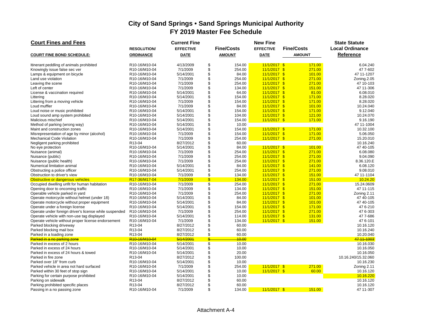| <b>Court Fines and Fees</b>                            |                   | <b>Current Fine</b> |                         |                   | <b>New Fine</b>  |                   | <b>State Statute</b>   |
|--------------------------------------------------------|-------------------|---------------------|-------------------------|-------------------|------------------|-------------------|------------------------|
|                                                        | <b>RESOLUTION</b> | <b>EFFECTIVE</b>    |                         | <b>Fine/Costs</b> | <b>EFFECTIVE</b> | <b>Fine/Costs</b> | <b>Local Ordinance</b> |
| <b>COURT FINE BOND SCHEDULE:</b>                       | <b>ORDINANCE</b>  | <b>DATE</b>         |                         | <b>AMOUNT</b>     | <b>DATE</b>      | <b>AMOUNT</b>     | Reference              |
| Itinerant peddling of animals prohibited               | R10-16/M10-04     | 4/13/2009           | \$                      | 154.00            | $11/1/2017$ \$   | 171.00            | 6.04.240               |
| Knowingly issue false sec ver                          | R10-16/M10-04     | 7/1/2009            | \$                      | 254.00            | $11/1/2017$ \$   | 271.00            | 47 7-602               |
| Lamps & equipment on bicycle                           | R10-16/M10-04     | 5/14/2001           | \$                      | 84.00             | $11/1/2017$ \$   | 101.00            | 47 11-1207             |
| Land use violation                                     | R10-16/M10-04     | 7/1/2009            | \$                      | 254.00            | $11/1/2017$ \$   | 271.00            | Zoning.2.05            |
| Leaving the scene                                      | R10-16/M10-04     | 7/1/2009            | \$                      | 254.00            | $11/1/2017$ \$   | 271.00            | 47 10-103              |
| Left of center                                         | R10-16/M10-04     | 7/1/2009            | \$                      | 134.00            | $11/1/2017$ \$   | 151.00            | 47 11-306              |
| License & vaccination required                         | R10-16/M10-04     | 5/14/2001           | \$                      | 64.00             | $11/1/2017$ \$   | 81.00             | 6.08.010               |
| Littering                                              | R10-16/M10-04     | 5/14/2001           | \$                      | 154.00            | $11/1/2017$ \$   | 171.00            | 8.28.020               |
| Littering from a moving vehicle                        | R10-16/M10-04     | 7/1/2009            | \$                      | 154.00            | $11/1/2017$ \$   | 171.00            | 8.28.020               |
| Loud muffler                                           | R10-16/M10-04     | 7/1/2009            | \$                      | 84.00             | $11/1/2017$ \$   | 101.00            | 10.24.040              |
| Loud noise or music prohibited                         | R10-16/M10-04     | 5/14/2001           | \$                      | 154.00            | $11/1/2017$ \$   | 171.00            | 9.12.040               |
| Loud sound amp system prohibited                       | R10-16/M10-04     | 5/14/2001           | \$                      | 104.00            | $11/1/2017$ \$   | 121.00            | 10.24.070              |
| Malicious mischief                                     | R10-16/M10-04     | 5/14/2001           | \$                      | 154.00            | $11/1/2017$ \$   | 171.00            | 9.16.190               |
| Method of parking (wrong way)                          | R10-16/M10-04     | 5/14/2001           | \$                      | 10.00             |                  |                   | 47 11-1004             |
| Maint and construction zones                           | R10-16/M10-04     | 5/14/2001           | \$                      | 154.00            | $11/1/2017$ \$   | 171.00            | 10.32.100              |
| Misrepresentation of age by minor (alcohol)            | R10-16/M10-04     | 7/1/2009            | \$                      | 154.00            | $11/1/2017$ \$   | 171.00            | 5.06.050               |
| <b>Mechanical Code Violation</b>                       | R10-16/M10-04     | 7/1/2009            | \$                      | 254.00            | $11/1/2017$ \$   | 271.00            | 15.20.010              |
| Negligent parking prohibited                           | R13-04            | 8/27/2012           | \$                      | 60.00             |                  |                   | 10.16.240              |
| No eye protection                                      | R10-16/M10-04     | 5/14/2001           | \$                      | 84.00             | $11/1/2017$ \$   | 101.00            | 47 40-105              |
| Nuisance (animal)                                      | R10-16/M10-04     | 7/1/2009            | \$                      | 254.00            | $11/1/2017$ \$   | 271.00            | 6.08.080               |
| Nuisance (public)                                      | R10-16/M10-04     | 7/1/2009            | \$                      | 254.00            | $11/1/2017$ \$   | 271.00            | 9.04.090               |
| Nuisance (public health)                               | R10-16/M10-04     | 7/1/2009            | \$                      | 254.00            | $11/1/2017$ \$   | 271.00            | 8.36.120.E             |
| Numerical limitation animal                            | R10-16/M10-04     | 5/14/2001           | \$                      | 84.00             | $11/1/2017$ \$   | 141.00            | 6.08.120               |
| Obstructing a police officer                           | R10-16/M10-04     | 5/14/2001           | \$                      | 254.00            | $11/1/2017$ \$   | 271.00            | 9.08.010               |
| Obstruction to driver's view                           | R10-16/M10-04     | 7/1/2009            | \$                      | 134.00            | $11/1/2017$ \$   | 151.00            | 47 11-1104             |
| Obstructive or dangerous vehicles                      | R17-36/M17-04     | 7/1/2009            | $\mathsf{\$}$           | 134.00            | $11/1/2017$ \$   | 151.00            | 10.24.20               |
| Occupied dwelling unfit for human habitation           | R10-16/M10-04     | 7/1/2009            | \$                      | 254.00            | $11/1/2017$ \$   | 271.00            | 15.24.0609             |
| Opening door to oncoming traffic                       | R10-16/M10-04     | 7/1/2009            | \$                      | 134.00            | $11/1/2017$ \$   | 151.00            | 47 11-115              |
| Operable vehicle parked in yard                        | R10-16/M10-04     | 7/1/2009            | \$                      | 254.00            | $11/1/2017$ \$   | 271.00            | Zoning 2.11            |
| Operate motorcycle without helmet (under 18)           | R10-16/M10-04     | 5/14/2001           | \$                      | 84.00             | $11/1/2017$ \$   | 101.00            | 47 40-105              |
| Operate motorcycle without proper equipment            | R10-16/M10-04     | 5/14/2001           | \$                      | 84.00             | $11/1/2017$ \$   | 101.00            | 47 40-105              |
| Operate under a foreign license                        | R10-16/M10-04     | 5/14/2001           | \$                      | 154.00            | $11/1/2017$ \$   | 171.00            | 47 6-210               |
| Operate under foreign driver's license while suspended | R10-16/M10-04     | 7/1/2009            | \$                      | 254.00            | $11/1/2017$ \$   | 271.00            | 47 6-303               |
| Operate vehicle with non-use tag displayed             | R10-16/M10-04     | 5/14/2001           | \$                      | 114.00            | $11/1/2017$ \$   | 131.00            | 47 7-686               |
| Operate vehicle without proper license endorsement     | R10-16/M10-04     | 7/1/2009            | \$                      | 134.00            | $11/1/2017$ \$   | 151.00            | 47 6-101               |
| Parked blocking driveway                               | R13-04            | 8/27/2012           | \$                      | 60.00             |                  |                   | 10.16.120              |
| Parked blocking mail box                               | R13-04            | 8/27/2012           | \$                      | 60.00             |                  |                   | 10.16.240              |
| Parked in a loading zone                               | R13-04            | 8/27/2012           | \$                      | 60.00             |                  |                   | 10.20.040              |
| Parked in a no parking zone                            | R10-16/M10-04     | 5/14/2001           | \$                      | 10.00             |                  |                   | 47 11 - 1003           |
| Parked in excess of 2 hours                            | R10-16/M10-04     | 5/14/2001           | $\sqrt[6]{\frac{1}{2}}$ | 10.00             |                  |                   | 10.16.030              |
| Parked in excess of 24 hours                           | R10-16/M10-04     | 5/14/2001           | \$                      | 10.00             |                  |                   | 10.16.050              |
| Parked in excess of 24 hours & towed                   | R10-16/M10-04     | 5/14/2001           | \$                      | 20.00             |                  |                   | 10.16.050              |
| Parked in fire zone                                    | R13-04            | 8/27/2012           | \$                      | 100.00            |                  |                   | 10.16.240/15.32.060    |
| Parked over 18" from curb                              | R10-16/M10-04     | 5/14/2001           | \$                      | 10.00             |                  |                   | 10.16.230              |
| Parked vehicle in area not hard surfaced               | R10-16/M10-04     | 7/1/2009            | \$                      | 254.00            | $11/1/2017$ \$   | 271.00            | Zoning 2.11            |
| Parked within 30 feet of stop sign                     | R10-16/M10-04     | 5/14/2001           | \$                      | 10.00             | $11/1/2017$ \$   | 60.00             | 10.16.120              |
| Parking for certain purpose prohibited                 | R10-16/M10-04     | 5/14/2001           | \$                      | 10.00             |                  |                   | 10.16.220              |
| Parking on sidewalk                                    | R13-04            | 8/27/2012           | \$                      | 60.00             |                  |                   | 10.16.120              |
| Parking prohibited specific places                     | R13-04            | 8/27/2012           | \$                      | 60.00             |                  |                   | 10.16.120              |
| Passing in a no passing zone                           | R10-16/M10-04     | 7/1/2009            | \$                      | 134.00            | $11/1/2017$ \$   | 151.00            | 47 11-307              |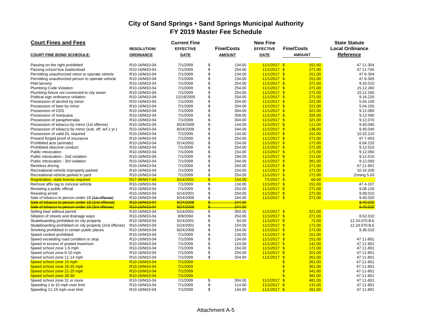| <b>Court Fines and Fees</b>                                                                            |                                        | <b>Current Fine</b>    |                          |                   | <b>New Fine</b>                  |                                     | <b>State Statute</b>           |
|--------------------------------------------------------------------------------------------------------|----------------------------------------|------------------------|--------------------------|-------------------|----------------------------------|-------------------------------------|--------------------------------|
|                                                                                                        | <b>RESOLUTION</b>                      | <b>EFFECTIVE</b>       |                          | <b>Fine/Costs</b> | <b>EFFECTIVE</b>                 | <b>Fine/Costs</b>                   | <b>Local Ordinance</b>         |
| <b>COURT FINE BOND SCHEDULE:</b>                                                                       | <b>ORDINANCE</b>                       | <b>DATE</b>            |                          | <b>AMOUNT</b>     | <b>DATE</b>                      | <b>AMOUNT</b>                       | Reference                      |
| Passing on the right prohibited                                                                        | R10-16/M10-04                          | 7/1/2009               | \$                       | 134.00            | $11/1/2017$ \$                   | 151.00                              | 47 11-304                      |
| Passing school bus load/unload                                                                         | R10-16/M10-04                          | 7/1/2009               | \$                       | 254.00            | $11/1/2017$ \$                   | 271.00                              | 47 11-705                      |
| Permitting unauthorized minor to operate vehicle                                                       | R10-16/M10-04                          | 7/1/2009               | \$                       | 134.00            | $11/1/2017$ \$                   | 151.00                              | 47 6-304                       |
| Permitting unauthorized person to operate vehicle                                                      | R10-16/M10-04                          | 7/1/2009               | \$                       | 134.00            | $11/1/2017$ \$                   | 151.00                              | 47 6-305                       |
| Petit larceny                                                                                          | R10-16/M10-04                          | 7/1/2009               | \$                       | 254.00            | $11/1/2017$ \$                   | 371.00                              | 9.20.010                       |
| Plumbing Code Violation                                                                                | R10-16/M10-04                          | 7/1/2009               | \$                       | 254.00            | $11/1/2017$ \$                   | 271.00                              | 15.12.260                      |
| Plumbing fixture not connected to city sewer                                                           | R10-16/M10-04                          | 7/1/2009               | \$                       | 254.00            | $11/1/2017$ \$                   | 271.00                              | 15.12.260                      |
| Political sign ordinance violation                                                                     | R10-16/M10-04                          | 12/19/2005             | \$                       | 254.00            | $11/1/2017$ \$                   | 271.00                              | 9.16.220                       |
| Possession of alcohol by minor                                                                         | R10-16/M10-04                          | 7/1/2009               | \$                       | 204.00            | $11/1/2017$ \$                   | 221.00                              | 5.04.150                       |
| Possession of beer by minor                                                                            | R10-16/M10-04                          | 7/1/2009               | \$                       | 204.00            | $11/1/2017$ \$                   | 221.00                              | 5.04.150                       |
| Possession of CDS                                                                                      | R10-16/M10-04                          | 7/1/2009               | \$                       | 304.00            | $11/1/2017$ \$                   | 321.00                              | 9.12.060                       |
| Possession of marijuana                                                                                | R10-16/M10-04                          | 7/1/2009               | \$                       | 309.00            | $11/1/2017$ \$                   | 326.00                              | 9.12.060                       |
| Possession of paraphernalia                                                                            | R10-16/M10-04                          | 7/1/2009               | \$                       | 304.00            | $11/1/2017$ \$                   | 321.00                              | 9.12.070                       |
| Possession of tobacco by minor (1st offense)                                                           | R10-16/M10-04                          | 8/24/2009              | \$                       | 144.00            | $11/1/2017$ \$                   | 111.00                              | 9.40.040                       |
| Possession of tobacco by minor (sub. off. w/l 1 yr.)                                                   | R10-16/M10-04                          | 8/24/2009              | \$                       | 244.00            | $11/1/2017$ \$                   | 136.00                              | 9.40.040                       |
| Possession of valid DL required                                                                        | R10-16/M10-04                          | 7/1/2009               | \$                       | 134.00            | $11/1/2017$ \$                   | 151.00                              | 10.32.210                      |
| Present forged proof of insurance                                                                      | R10-16/M10-04                          | 7/1/2009               | \$                       | 254.00            | $11/1/2017$ \$                   | 271.00                              | 47 7-403                       |
| Prohibited acts (animals)                                                                              | R10-16/M10-04                          | 5/14/2001              | \$                       | 154.00            | $11/1/2017$ \$                   | 171.00                              | 6.04.220                       |
| Prohibited obscene conduct                                                                             | R10-16/M10-04                          | 7/1/2009               | \$                       | 254.00            | $11/1/2017$ \$                   | 271.00                              | 9.12.010                       |
| Public intoxication                                                                                    | R10-16/M10-04                          | 7/1/2009               | \$                       | 154.00            | $11/1/2017$ \$                   | 171.00                              | 9.12.050                       |
| Public intoxication - 2nd violation                                                                    | R10-16/M10-04                          | 7/1/2009               | \$                       | 194.00            | $11/1/2017$ \$                   | 211.00                              | 9.12.010                       |
| Public intoxication - 3rd violation                                                                    | R10-16/M10-04                          | 7/1/2009               | \$                       | 244.00            | $11/1/2017$ \$                   | 261.00                              | 9.12.050                       |
| Reckless driving                                                                                       | R10-16/M10-04                          | 7/1/2009               | \$                       | 254.00            | $11/1/2017$ \$                   | 271.00                              | 47 11-901                      |
| Recreational vehicle improperly parked                                                                 | R10-16/M10-04                          | 7/1/2009               | \$                       | 154.00            | $11/1/2017$ \$                   | 171.00                              | 10.16.200                      |
| Recreational vehicle parked in yard                                                                    | R10-16/M10-04                          | 7/1/2009               | \$                       | 254.00            | $11/1/2017$ \$                   | 271.00                              | Zoning 5.03                    |
| Registration, state license required                                                                   | R17-36/M17-04                          | 5/14/2001              | $\overline{\mathbb{S}}$  | 154.00            | $7/1/2017$ \$                    | 60.00                               |                                |
| Remove affix tag to conceal vehicle                                                                    | R10-16/M10-04                          | 7/1/2009               | \$                       | 134.00            | $11/1/2017$ \$                   | 151.00                              | 474--107                       |
| Resisting a public official                                                                            | R10-16/M10-04                          | 7/1/2009               | \$                       | 254.00            | $11/1/2017$ \$                   | 271.00                              | 9.08.120                       |
| <b>Resisting arrest</b>                                                                                | R10-16/M10-04                          | 5/14/2001              | \$                       | 254.00            | $11/1/2017$ \$                   | 271.00                              | 9.08.010                       |
| Sale of tobacco to person under 18 (1st offense)                                                       | R10-16/M10-04                          | 8/24/2009              | \$                       | 144.00            | $11/1/2017$ \$                   | 271.00                              | 9.40.020                       |
| Sale of tobacco to person under 18 (2nd offense)                                                       | R <sub>10-16</sub> /M <sub>10-04</sub> | 8/24/2009              | ዴ                        | 244.00            |                                  |                                     | 9.40.020                       |
| Sale of tobacco to person under 18 (3rd offense)                                                       | R10-16/M10-04                          | 8/24/2009              | $\frac{1}{2}$            | 344.00            |                                  |                                     | 9.40.020                       |
| Selling beer without permit                                                                            | R10-16/M10-04                          | 5/14/2001              | $\overline{\mathcal{S}}$ | 304.00            | $11/1/2017$ \$                   | 321.00                              |                                |
| Siltation of streets and drainage ways                                                                 | R10-16/M10-04                          | 8/9/2004               | \$                       | 254.00            | $11/1/2017$ \$                   | 271.00                              | 8.52.010                       |
| Skateboarding prohibited on city property                                                              | R10-16/M10-04<br>R10-16/M10-04         | 5/14/2001<br>5/14/2001 | \$<br>\$                 | 54.00<br>154.00   | $11/1/2017$ \$<br>$11/1/2017$ \$ | 71.00<br>171.00                     | 12.24.070.B.6<br>12.24.070.B.6 |
| Skateboarding prohibited on city property (2nd offense)<br>Smoking prohibited in certain public places | R10-16/M10-04                          | 8/24/2009              | \$                       | 154.00            |                                  | 171.00                              | 9.36.010                       |
| Speed contest prohibited                                                                               | R10-16/M10-04                          | 7/1/2009               | \$                       | 134.00            | $11/1/2017$ \$<br>$11/1/2017$ \$ | 151.00                              |                                |
| Speed exceeding road condition or stop                                                                 | R10-16/M10-04                          | 7/1/2009               | \$                       | 134.00            | $11/1/2017$ \$                   | 151.00                              | 47 11-801                      |
| Speed in excess of posted maximum                                                                      | R10-16/M10-04                          | 7/1/2009               | \$                       | 124.00            | $11/1/2017$ \$                   | 141.00                              | 47 11-801                      |
| Speed school zone 1-5 mph                                                                              | R10-16/M10-04                          | 7/1/2009               | \$                       | 154.00            | $11/1/2017$ \$                   | 171.00                              | 47 11-801                      |
| Speed school zone 6-10 mph                                                                             | R10-16/M10-04                          | 7/1/2009               | \$                       | 204.00            | $11/1/2017$ \$                   | 201.00                              | 47 11-801                      |
| Speed school zone 11-14 mph                                                                            | R10-16/M10-04                          | 7/1/2009               | \$                       | 254.00            | 11/1/2017 \$                     | 261.00                              | 47 11-801                      |
| Speed school zone 15 mph                                                                               | R10-16/M10-04                          | 7/1/2009               |                          |                   |                                  | $\boldsymbol{\mathsf{s}}$<br>261.00 | 47-11-801                      |
| Speed school zone 16-20 mph                                                                            | R10-16/M10-04                          | 7/1/2009               |                          |                   |                                  | \$<br>301.00                        | 47-11-801                      |
| Speed school zone 21-25 mph                                                                            | R10-16/M10-04                          | 7/1/2009               |                          |                   |                                  | $\mathsf{s}$<br>341.00              | 47-11-801                      |
| Speed school zone 26-30                                                                                | R10-16/M10-04                          | 7/1/2009               |                          |                   |                                  | $\mathbf{\$}$<br>381.00             | 47-11-801                      |
| Speed school zone 31 or more                                                                           | R10-16/M10-04                          | 7/1/2009               | \$                       | 304.00            | 11/1/2017                        | $\sqrt{3}$<br>481.00                | 47 11-801                      |
| Speeding 1 to 10 mph over limit                                                                        | R10-16/M10-04                          | 7/1/2009               | \$                       | 114.00            | $11/1/2017$ \$                   | 131.00                              | 47 11-801                      |
| Speeding 11-15 mph over limit                                                                          | R10-16/M10-04                          | 7/1/2009               | \$                       | 144.00            | $11/1/2017$ \$                   | 161.00                              | 47 11-801                      |
|                                                                                                        |                                        |                        |                          |                   |                                  |                                     |                                |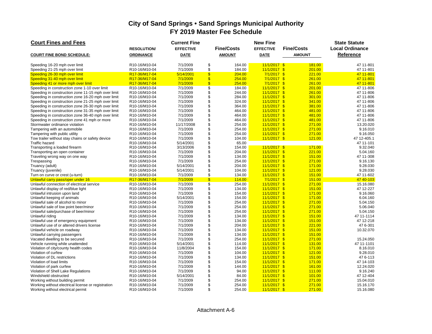| <b>Court Fines and Fees</b>                        |                    | <b>Current Fine</b> |                          |                   | <b>New Fine</b>  |                        | <b>State Statute</b>   |
|----------------------------------------------------|--------------------|---------------------|--------------------------|-------------------|------------------|------------------------|------------------------|
|                                                    | <b>RESOLUTION/</b> | <b>EFFECTIVE</b>    |                          | <b>Fine/Costs</b> | <b>EFFECTIVE</b> | <b>Fine/Costs</b>      | <b>Local Ordinance</b> |
| <b>COURT FINE BOND SCHEDULE:</b>                   | <b>ORDINANCE</b>   | <b>DATE</b>         |                          | <b>AMOUNT</b>     | <b>DATE</b>      | <b>AMOUNT</b>          | <b>Reference</b>       |
|                                                    |                    |                     |                          |                   |                  |                        |                        |
| Speeding 16-20 mph over limit                      | R10-16/M10-04      | 7/1/2009            | \$                       | 164.00            | $11/1/2017$ \$   | 181.00                 | 47 11-801              |
| Speeding 21-25 mph over limit                      | R10-16/M10-04      | 7/1/2009            | \$                       | 184.00            | $11/1/2017$ \$   | 201.00                 | 47 11-801              |
| Speeding 26-30 mph over limit                      | R17-36/M17-04      | 5/14/2001           | $\mathbf{\$}$            | 204.00            | $7/1/2017$ \$    | 221.00                 | 47 11-801              |
| Speeding 31-40 mph over limit                      | R17-36/M17-04      | 7/1/2009            | $\overline{\mathbb{S}}$  | 254.00            | $7/1/2017$ \$    | 261.00                 | 47 11-801              |
| Speeding 41 or more mph over limit                 | R17-36/M17-04      | 7/1/2009            | $\mathbf{\hat{s}}$       | 254.00            | $7/1/2017$ \$    | 261.00                 | 47 11-801              |
| Speeding in construction zone 1-10 over limit      | R10-16/M10-04      | 7/1/2009            | $\overline{\mathcal{S}}$ | 184.00            | $11/1/2017$ \$   | 201.00                 | 47 11-806              |
| Speeding in construction zone 11-15 mph over limit | R10-16/M10-04      | 7/1/2009            | \$                       | 244.00            | $11/1/2017$ \$   | 261.00                 | 47 11-806              |
| Speeding in construction zone 16-20 mph over limit | R10-16/M10-04      | 7/1/2009            | \$                       | 284.00            | $11/1/2017$ \$   | 301.00                 | 47 11-806              |
| Speeding in construction zone 21-25 mph over limit | R10-16/M10-04      | 7/1/2009            | \$                       | 324.00            | $11/1/2017$ \$   | 341.00                 | 47 11-806              |
| Speeding in construction zone 26-30 mph over limit | R10-16/M10-04      | 7/1/2009            | \$                       | 364.00            | $11/1/2017$ \$   | 381.00                 | 47 11-806              |
| Speeding in construction zone 31-35 mph over limit | R10-16/M10-04      | 7/1/2009            | \$                       | 464.00            | $11/1/2017$ \$   | 481.00                 | 47 11-806              |
| Speeding in construction zone 36-40 mph over limit | R10-16/M10-04      | 7/1/2009            | \$                       | 464.00            | $11/1/2017$ \$   | 481.00                 | 47 11-806              |
| Speeding in construction zone 41 mph or more       | R10-16/M10-04      | 7/1/2009            | \$                       | 464.00            | $11/1/2017$ \$   | 481.00                 | 47 11-806              |
| Stormwater ordinance violation                     | R10-16/M10-04      | 11/17/2008          | \$                       | 254.00            | $11/1/2017$ \$   | 271.00                 | 13.20.020              |
| Tampering with an automobile                       | R10-16/M10-04      | 7/1/2009            | \$                       | 254.00            | $11/1/2017$ \$   | 271.00                 | 9.16.010               |
| Tampering with public utility                      | R10-16/M10-04      | 7/1/2009            | \$                       | 254.00            | $11/1/2017$ \$   | 271.00                 | 9.16.050               |
| Tow trailer without stay chains or safety device   | R10-16/M10-04      | 7/1/2009            | \$                       | 104.00            | $11/1/2017$ \$   | 121.00                 | 47 12-405.1            |
| <b>Traffic hazard</b>                              | R10-16/M10-04      | 5/14/2001           | \$                       | 65.00             |                  |                        | 47 11-101              |
| Transporting a loaded firearm                      | R10-16/M10-04      | 3/13/2006           | \$                       | 154.00            | $11/1/2017$ \$   | 171.00                 | 9.32.040               |
| Transporting an open container                     | R10-16/M10-04      | 7/1/2009            | \$                       | 204.00            | $11/1/2017$ \$   | 221.00                 | 5.04.160               |
| Traveling wrong way on one way                     | R10-16/M10-04      | 7/1/2009            | \$                       | 134.00            | $11/1/2017$ \$   | 151.00                 | 47 11-308              |
| Trespassing                                        | R10-16/M10-04      | 7/1/2009            | \$                       | 254.00            | $11/1/2017$ \$   | 271.00                 | 9.16.130               |
| Truancy (adult)                                    | R10-16/M10-04      | 5/14/2001           | \$                       | 204.00            | $11/1/2017$ \$   | 171.00                 | 9.28.030               |
| Truancy (juvenile)                                 | R10-16/M10-04      | 5/14/2001           | \$                       | 104.00            | $11/1/2017$ \$   | 121.00                 | 9.28.030               |
| Turn on curve or crest (u-turn)                    | R10-16/M10-04      | 7/1/2009            | \$                       | 134.00            | $11/1/2017$ \$   | 151.00                 | 47 11-602              |
| Unlawful carry pass/oper under 16                  | R17-36/M17-04      | 7/1/2009            | $\overline{\mathcal{S}}$ | 114.00            | $7/1/2017$ \$    | 151.00                 | 47 40-103              |
| Unlawful connection of electrical service          | R10-16/M10-04      | 7/1/2009            | \$                       | 254.00            | $11/1/2017$ \$   | 271.00                 | 15.16.080              |
| Unlawful display of red/blue light                 | R10-16/M10-04      | 7/1/2009            | \$                       | 134.00            | $11/1/2017$ \$   | 151.00                 | 47 12-227              |
| Unlawful intrusion upon land                       | R10-16/M10-04      | 7/1/2009            | \$                       | 154.00            | $11/1/2017$ \$   | 171.00                 | 9.16.060               |
| Unlawful keeping of animals                        | R10-16/M10-04      | 5/14/2001           | \$                       | 154.00            | $11/1/2017$ \$   | 171.00                 | 6.04.160               |
| Unlawful sale of alcohol to minor                  | R10-16/M10-04      | 7/1/2009            | \$                       | 254.00            | $11/1/2017$ \$   | 271.00                 | 5.04.150               |
| Unlawful sale of low point beer/minor              | R10-16/M10-04      | 7/1/2009            | \$                       | 254.00            | $11/1/2017$ \$   | 271.00                 | 5.06.040               |
| Unlawful sale/purchase of beer/minor               | R10-16/M10-04      | 7/1/2009            | \$                       | 254.00            | $11/1/2017$ \$   | 271.00                 | 5.04.150               |
| Unlawful riding                                    | R10-16/M10-04      | 7/1/2009            | \$                       | 134.00            | $11/1/2017$ \$   | 151.00                 | 47 11-1114             |
| Unlawful use of emergency equipment                | R10-16/M10-04      | 7/1/2009            | \$                       | 134.00            | $11/1/2017$ \$   | 151.00                 | 47 12-218              |
| Unlawful use of or altered drivers license         | R10-16/M10-04      | 7/1/2009            | \$                       | 204.00            | $11/1/2017$ \$   | 221.00                 | 47 6-301               |
| Unlawful vehicle on roadway                        | R10-16/M10-04      | 7/1/2009            | \$                       | 134.00            | $11/1/2017$ \$   | 151.00                 | 10.32.070              |
| Unlawful carrying passengers                       | R10-16/M10-04      | 7/1/2009            | \$                       | 134.00            | $11/1/2017$ \$   | 151.00                 |                        |
| Vacated dwelling to be secured                     | R10-16/M10-04      | 7/1/2009            | \$                       | 254.00            | $11/1/2017$ \$   | 271.00                 | 15.24.050              |
| Vehicle running while unattended                   | R10-16/M10-04      | 5/14/2001           | \$                       | 114.00            | $11/1/2017$ \$   | 131.00                 | 47 11-1101             |
| Violation of city/county health codes              | R10-16/M10-04      | 11/8/2004           | \$                       | 154.00            | $11/1/2017$ \$   | 171.00                 | 8.16.010               |
| Violation of curfew                                | R10-16/M10-04      | 7/1/2009            | \$                       | 104.00            | $11/1/2017$ \$   | 121.00                 | 9.28.010               |
| Violation of DL restrictions                       | R10-16/M10-04      | 7/1/2009            | \$                       | 134.00            | $11/1/2017$ \$   | 151.00                 | 476-113                |
| Violation of load limits                           | R10-16/M10-04      | 7/1/2009            | \$                       | 154.00            | $11/1/2017$ \$   | 171.00                 | 47 14-103              |
| Violation of park curfew                           | R10-16/M10-04      | 7/1/2009            | \$                       | 144.00            | $11/1/2017$ \$   | 161.00                 | 12.24.020              |
| Violation of Shell Lake Regulations                | R10-16/M10-04      | 7/1/2009            | \$                       | 94.00             | $11/1/2017$ \$   | 111.00                 | 9.16.240               |
| Windshield obstructed                              | R10-16/M10-04      | 5/14/2001           | \$                       | 84.00             | 11/1/2017        | 101.00<br>$\mathbf{s}$ | 47 12-404              |
| Working without building permit                    | R10-16/M10-04      | 7/1/2009            | \$                       | 254.00            | $11/1/2017$ \$   | 271.00                 | 15.04.010              |
| Working without electrical license or registration | R10-16/M10-04      | 7/1/2009            | \$                       | 254.00            | $11/1/2017$ \$   | 271.00                 | 15.16.170              |
| Working without electrical permit                  | R10-16/M10-04      | 7/1/2009            | \$                       | 254.00            | $11/1/2017$ \$   | 271.00                 | 15.16.080              |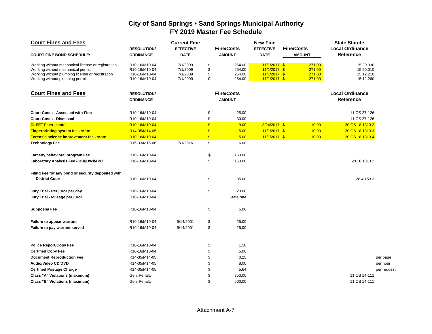| <b>Court Fines and Fees</b>                                                                                                                                                    | <b>RESOLUTION/</b>                                               | <b>Current Fine</b><br><b>EFFECTIVE</b>      |                      | <b>Fine/Costs</b>                    | <b>New Fine</b><br><b>EFFECTIVE</b>                                  | <b>Fine/Costs</b> |                                      | <b>State Statute</b><br><b>Local Ordinance</b>   |            |
|--------------------------------------------------------------------------------------------------------------------------------------------------------------------------------|------------------------------------------------------------------|----------------------------------------------|----------------------|--------------------------------------|----------------------------------------------------------------------|-------------------|--------------------------------------|--------------------------------------------------|------------|
| <b>COURT FINE BOND SCHEDULE:</b>                                                                                                                                               | <b>ORDINANCE</b>                                                 | <b>DATE</b>                                  |                      | <b>AMOUNT</b>                        | <b>DATE</b>                                                          | <b>AMOUNT</b>     |                                      | <b>Reference</b>                                 |            |
| Working without mechanical license or registration<br>Working without mechanical permit<br>Working without plumbing license or registration<br>Working without plumbing permit | R10-16/M10-04<br>R10-16/M10-04<br>R10-16/M10-04<br>R10-16/M10-04 | 7/1/2009<br>7/1/2009<br>7/1/2009<br>7/1/2009 | \$<br>\$<br>\$<br>\$ | 254.00<br>254.00<br>254.00<br>254.00 | $11/1/2017$ \$<br>$11/1/2017$ \$<br>$11/1/2017$ \$<br>$11/1/2017$ \$ |                   | 271.00<br>271.00<br>271.00<br>271.00 | 15.20.030<br>15.20.010<br>15.12.210<br>15.12.260 |            |
| <b>Court Fines and Fees</b>                                                                                                                                                    | <b>RESOLUTION</b><br><b>ORDINANCE</b>                            |                                              |                      | <b>Fine/Costs</b><br><b>AMOUNT</b>   |                                                                      |                   |                                      | <b>Local Ordinance</b><br><b>Reference</b>       |            |
| <b>Court Costs - Assessed with Fine</b>                                                                                                                                        | R10-16/M10-04                                                    |                                              | \$                   | 25.00                                |                                                                      |                   |                                      | 11.OS 27-126                                     |            |
| <b>Court Costs - Dismissal</b>                                                                                                                                                 | R10-16/M10-04                                                    |                                              | \$                   | 30.00                                |                                                                      |                   |                                      | 11.OS 27-126                                     |            |
| <b>CLEET Fees - state</b>                                                                                                                                                      | R10-16/M10-04                                                    |                                              | $\mathbf{\$}$        | 9.00                                 | 8/24/2017 \$                                                         |                   | 10.00                                | 20 OS 18.1313.2                                  |            |
| <b>Fingerprinting system fee - state</b>                                                                                                                                       | R14-35/M14-05                                                    |                                              | $\mathsf{\$}$        | 5.00                                 | $11/1/2017$ \$                                                       |                   | 10.00                                | 20 OS 18.1313.3                                  |            |
| <b>Forensic science improvement fee - state</b>                                                                                                                                | R10-16/M10-04                                                    |                                              | $\mathbf{s}$         | 5.00                                 | $11/1/2017$ \$                                                       |                   | 10.00                                | 20 OS 18 1313.4                                  |            |
| <b>Technology Fee</b>                                                                                                                                                          | R16-33/M16-06                                                    | 7/1/2016                                     | \$                   | 6.00                                 |                                                                      |                   |                                      |                                                  |            |
| Larceny behavioral program Fee                                                                                                                                                 | R10-16/M10-04                                                    |                                              | \$                   | 150.00                               |                                                                      |                   |                                      |                                                  |            |
| Laboratory Analysis Fee - DUI/DWI/APC                                                                                                                                          | R10-16/M10-04                                                    |                                              | \$                   | 150.00                               |                                                                      |                   |                                      | 20.18.1313.2                                     |            |
| Filing Fee for any bond or security deposited with                                                                                                                             |                                                                  |                                              |                      |                                      |                                                                      |                   |                                      |                                                  |            |
| <b>District Court</b>                                                                                                                                                          | R10-16/M10-04                                                    |                                              | \$                   | 35.00                                |                                                                      |                   |                                      | 28.4.153.3                                       |            |
| Jury Trial - Per juror per day                                                                                                                                                 | R10-16/M10-04                                                    |                                              | \$                   | 20.00                                |                                                                      |                   |                                      |                                                  |            |
| Jury Trial - Mileage per juror                                                                                                                                                 | R10-16/M10-04                                                    |                                              |                      | State rate                           |                                                                      |                   |                                      |                                                  |            |
| Subpoena Fee                                                                                                                                                                   | R10-16/M10-04                                                    |                                              | \$                   | 5.00                                 |                                                                      |                   |                                      |                                                  |            |
| Failure to appear warrant                                                                                                                                                      | R10-16/M10-04                                                    | 5/14/2001                                    | \$                   | 25.00                                |                                                                      |                   |                                      |                                                  |            |
| Failure to pay warrant served                                                                                                                                                  | R10-16/M10-04                                                    | 5/14/2001                                    | \$                   | 25.00                                |                                                                      |                   |                                      |                                                  |            |
| <b>Police Report/Copy Fee</b>                                                                                                                                                  | R10-16/M10-04                                                    |                                              | \$                   | 1.50                                 |                                                                      |                   |                                      |                                                  |            |
| <b>Certified Copy Fee</b>                                                                                                                                                      | R10-16/M10-04                                                    |                                              | \$                   | 5.00                                 |                                                                      |                   |                                      |                                                  |            |
| <b>Document Reproduction Fee</b>                                                                                                                                               | R14-35/M14-05                                                    |                                              | \$                   | 0.25                                 |                                                                      |                   |                                      |                                                  | per page   |
| <b>Audio/Video CD/DVD</b>                                                                                                                                                      | R14-35/M14-05                                                    |                                              | \$                   | 8.00                                 |                                                                      |                   |                                      |                                                  | per hour   |
| <b>Certified Postage Charge</b>                                                                                                                                                | R14-35/M14-05                                                    |                                              | \$                   | 5.64                                 |                                                                      |                   |                                      |                                                  | per reques |
| <b>Class "A" Violations (maximum)</b>                                                                                                                                          | Gen. Penalty                                                     |                                              | \$                   | 750.00                               |                                                                      |                   |                                      | 11 OS 14-111                                     |            |
| Class "B" Violations (maximum)                                                                                                                                                 | Gen. Penalty                                                     |                                              | \$                   | 500.00                               |                                                                      |                   |                                      | 11 OS 14-111                                     |            |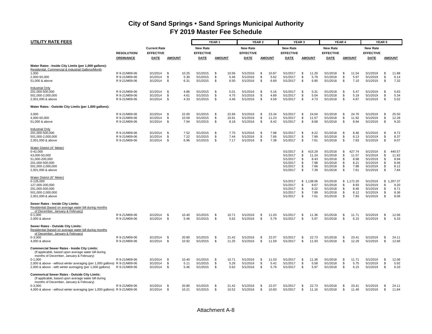| <b>UTILITY RATE FEES</b>                                                                                                                                                                                                                             |                                                 |                                  |                                            |                                  | YEAR <sub>1</sub>    |                        |                                  | <b>YEAR 2</b>    |                        |                                                                      | YEAR <sub>3</sub>                |                                                 |                                                                      | YEAR 4                           |                                                 |                                                                      | <b>YEAR 5</b>                     |                                                 |
|------------------------------------------------------------------------------------------------------------------------------------------------------------------------------------------------------------------------------------------------------|-------------------------------------------------|----------------------------------|--------------------------------------------|----------------------------------|----------------------|------------------------|----------------------------------|------------------|------------------------|----------------------------------------------------------------------|----------------------------------|-------------------------------------------------|----------------------------------------------------------------------|----------------------------------|-------------------------------------------------|----------------------------------------------------------------------|-----------------------------------|-------------------------------------------------|
|                                                                                                                                                                                                                                                      |                                                 | <b>Current Rate</b>              |                                            | New Rate                         |                      |                        | <b>New Rate</b>                  |                  |                        | <b>New Rate</b>                                                      |                                  |                                                 | <b>New Rate</b>                                                      |                                  |                                                 | <b>New Rate</b>                                                      |                                   |                                                 |
|                                                                                                                                                                                                                                                      | <b>RESOLUTION</b><br><b>ORDINANCE</b>           | <b>EFFECTIVE</b><br><b>DATE</b>  | <b>AMOUNT</b>                              | <b>EFFECTIVE</b><br>DATE         | <b>AMOUNT</b>        |                        | <b>EFFECTIVE</b><br>DATE         |                  | <b>AMOUNT</b>          | <b>EFFECTIVE</b><br>DATE                                             |                                  | <b>AMOUNT</b>                                   | <b>EFFECTIVE</b><br>DATE                                             |                                  | <b>AMOUNT</b>                                   | <b>EFFECTIVE</b><br>DATE                                             |                                   | <b>AMOUNT</b>                                   |
| Water Rates - Inside City Limits (per 1,000 gallons):<br>Residential, Commercial & Industrial Gallons/Month                                                                                                                                          |                                                 |                                  |                                            |                                  |                      |                        |                                  |                  |                        |                                                                      |                                  |                                                 |                                                                      |                                  |                                                 |                                                                      |                                   |                                                 |
| 1,000<br>2,000-50,000<br>51,000 & above                                                                                                                                                                                                              | R 9-21/M09-06<br>R 9-21/M09-06<br>R 9-21/M09-06 | 3/1/2014<br>3/1/2014<br>3/1/2014 | - \$<br>10.25<br>\$<br>5.30<br>\$<br>6.31  | 5/1/2015<br>5/1/2015<br>5/1/2015 | \$<br>\$<br>\$       | 10.56<br>5.46<br>6.50  | 5/1/2016<br>5/1/2016<br>5/1/2016 | -\$<br>\$<br>\$  | 10.87<br>5.62<br>6.69  | 5/1/2017<br>5/1/2017<br>5/1/2017                                     | \$<br>\$<br>\$                   | 11.20<br>5.79<br>6.90                           | 5/1/2018<br>5/1/2018<br>5/1/2018                                     | \$<br>\$<br>\$                   | 11.54<br>5.97<br>7.10                           | 5/1/2019<br>5/1/2019<br>5/1/2019                                     | \$<br>\$<br>\$                    | 11.88<br>6.14<br>7.32                           |
| <b>Industrial Only</b><br>201,000-500,000<br>501,000-2,000,000<br>2,001,000 & above                                                                                                                                                                  | R 9-21/M09-06<br>R 9-21/M09-06<br>R 9-21/M09-06 | 3/1/2014<br>3/1/2014<br>3/1/2014 | - \$<br>4.86<br>\$<br>4.61<br>\$<br>4.33   | 5/1/2015<br>5/1/2015<br>5/1/2015 | \$<br>\$<br>\$       | 5.01<br>4.75<br>4.46   | 5/1/2016<br>5/1/2016<br>5/1/2016 | -\$<br>\$<br>\$  | 5.16<br>4.89<br>4.59   | 5/1/2017<br>5/1/2017<br>5/1/2017                                     | \$<br>\$<br>\$                   | 5.31<br>5.04<br>4.73                            | 5/1/2018<br>5/1/2018<br>5/1/2018                                     | \$<br>\$<br>\$                   | 5.47<br>5.19<br>4.87                            | 5/1/2019<br>5/1/2019<br>5/1/2019                                     | \$<br>\$<br>\$                    | 5.63<br>5.34<br>5.02                            |
| Water Rates - Outside City Limits (per 1,000 gallons):                                                                                                                                                                                               |                                                 |                                  |                                            |                                  |                      |                        |                                  |                  |                        |                                                                      |                                  |                                                 |                                                                      |                                  |                                                 |                                                                      |                                   |                                                 |
| 3,000<br>4,000-50,000<br>51,000 & above                                                                                                                                                                                                              | R 9-21/M09-06<br>R 9-21/M09-06<br>R 9-21/M09-06 | 3/1/2014<br>3/1/2014<br>3/1/2014 | - \$<br>22.00<br>\$<br>10.59<br>\$<br>7.94 | 5/1/2015<br>5/1/2015<br>5/1/2015 | <b>S</b><br>\$<br>\$ | 22.66<br>10.91<br>8.18 | 5/1/2016<br>5/1/2016<br>5/1/2016 | - \$<br>\$<br>\$ | 23.34<br>11.23<br>8.42 | 5/1/2017<br>5/1/2017<br>5/1/2017                                     | \$<br>\$<br>\$                   | 24.04<br>11.57<br>8.68                          | 5/1/2018<br>5/1/2018<br>5/1/2018                                     | \$<br>\$<br>\$                   | 24.76<br>11.92<br>8.94                          | 5/1/2019<br>5/1/2019<br>5/1/2019                                     | \$.<br>\$<br>\$                   | 25.50<br>12.28<br>9.20                          |
| <b>Industrial Only</b><br>201,000-500,000<br>501,000-2,000,000<br>2,001,000 & above                                                                                                                                                                  | R 9-21/M09-06<br>R 9-21/M09-06<br>R 9-21/M09-06 | 3/1/2014<br>3/1/2014<br>3/1/2014 | \$<br>7.52<br>\$<br>7.22<br>\$<br>6.96     | 5/1/2015<br>5/1/2015<br>5/1/2015 | S.<br>\$<br>\$       | 7.75<br>7.44<br>7.17   | 5/1/2016<br>5/1/2016<br>5/1/2016 | \$<br>\$<br>\$   | 7.98<br>7.66<br>7.38   | 5/1/2017<br>5/1/2017<br>5/1/2017                                     | \$<br>\$<br>\$                   | 8.22<br>7.89<br>7.61                            | 5/1/2018<br>5/1/2018<br>5/1/2018                                     | \$<br>\$<br>\$                   | 8.46<br>8.13<br>7.83                            | 5/1/2019<br>5/1/2019<br>5/1/2019                                     | \$<br>\$<br>\$.                   | 8.72<br>8.37<br>8.07                            |
| Water District (4" Meter)<br>$0 - 42,000$<br>43,000-50,000<br>51,000-200,000<br>201,000-500,000<br>501.000-2.000.000<br>2,001,000 & above                                                                                                            |                                                 |                                  |                                            |                                  |                      |                        |                                  |                  |                        | 5/1/2017<br>5/1/2017<br>5/1/2017<br>5/1/2017<br>5/1/2017<br>5/1/2017 | \$<br>\$<br>\$<br>\$<br>S.<br>\$ | 415.29<br>11.24<br>8.43<br>7.98<br>7.66<br>7.39 | 5/1/2018<br>5/1/2018<br>5/1/2018<br>5/1/2018<br>5/1/2018<br>5/1/2018 | \$<br>\$<br>\$<br>\$<br>S.<br>\$ | 427.74<br>11.57<br>8.68<br>8.21<br>7.88<br>7.61 | 5/1/2019<br>5/1/2019<br>5/1/2019<br>5/1/2019<br>5/1/2019<br>5/1/2019 | \$<br>\$<br>S.<br>\$<br>\$.<br>\$ | 440.57<br>11.92<br>8.94<br>8.46<br>8.12<br>7.84 |
| Water District (6" Meter)<br>0-126,000<br>127.000-200.000<br>201,000-500,000<br>501.000-2.000.000<br>2,001,000 & above                                                                                                                               |                                                 |                                  |                                            |                                  |                      |                        |                                  |                  |                        | 5/1/2017<br>5/1/2017<br>5/1/2017<br>5/1/2017<br>5/1/2017             | \$<br>\$<br>\$<br>\$<br>\$       | 1,138.06<br>8.67<br>8.22<br>7.89<br>7.61        | 5/1/2018<br>5/1/2018<br>5/1/2018<br>5/1/2018<br>5/1/2018             | \$<br>S.<br>\$<br>\$.<br>\$      | 1,172.20<br>8.93<br>8.46<br>8.12<br>7.83        | 5/1/2019<br>5/1/2019<br>5/1/2019<br>5/1/2019<br>5/1/2019             | \$<br>\$.<br>\$<br>\$.<br>\$      | ,207.37<br>9.20<br>8.71<br>8.36<br>8.06         |
| Sewer Rates - Inside City Limits:<br>Residential (based on average water bill during months)<br>of December, January & February)<br>$0-1,000$<br>2,000 & above                                                                                       | R 9-21/M09-06<br>R 9-21/M09-06                  | 3/1/2014<br>3/1/2014             | \$<br>10.40<br>-\$<br>5.46                 | 5/1/2015<br>5/1/2015             | \$<br>S.             | 10.71<br>5.62          | 5/1/2016<br>5/1/2016             | -\$<br>\$        | 11.03<br>5.79          | 5/1/2017<br>5/1/2017                                                 | \$<br>\$                         | 11.36<br>5.97                                   | 5/1/2018<br>5/1/2018                                                 | \$<br>\$                         | 11.71<br>6.15                                   | 5/1/2019<br>5/1/2019                                                 | \$.<br>\$.                        | 12.06<br>6.33                                   |
| Sewer Rates - Outside City Limits:<br>Residential (based on average water bill during months<br>of December, January & February)<br>$0 - 3.000$<br>4,000 & above                                                                                     | R 9-21/M09-06<br>R 9-21/M09-06                  | 3/1/2014<br>3/1/2014             | - \$<br>20.80<br>\$<br>10.92               | 5/1/2015<br>5/1/2015             | -S<br>\$             | 21.42<br>11.25         | 5/1/2016<br>5/1/2016             | -\$<br>\$        | 22.07<br>11.59         | 5/1/2017<br>5/1/2017                                                 | \$<br>\$                         | 22.73<br>11.93                                  | 5/1/2018<br>5/1/2018                                                 | \$<br>\$                         | 23.41<br>12.29                                  | 5/1/2019<br>5/1/2019                                                 | \$.<br>\$                         | 24.11<br>12.66                                  |
| <b>Commercial Sewer Rates - Inside City Limits:</b><br>(If applicable, based upon average water bill during<br>months of December, January & February)                                                                                               |                                                 |                                  |                                            |                                  |                      |                        |                                  |                  |                        |                                                                      |                                  |                                                 |                                                                      |                                  |                                                 |                                                                      |                                   |                                                 |
| $0-1,000$<br>2,000 & above - without winter averaging (per 1,000 gallons) R 9-21/M09-06<br>2,000 & above - with winter averaging (per 1,000 gallons)                                                                                                 | R 9-21/M09-06<br>R 9-21/M09-06                  | 3/1/2014<br>3/1/2014<br>3/1/2014 | \$<br>10.40<br>\$<br>5.11<br>\$<br>5.46    | 5/1/2015<br>5/1/2015<br>5/1/2015 | \$<br>S.<br>\$       | 10.71<br>5.26<br>5.62  | 5/1/2016<br>5/1/2016<br>5/1/2016 | \$<br>\$<br>\$   | 11.03<br>5.42<br>5.79  | 5/1/2017<br>5/1/2017<br>5/1/2017                                     | \$<br>\$<br>\$                   | 11.36<br>5.58<br>5.97                           | 5/1/2018<br>5/1/2018<br>5/1/2018                                     | \$<br>\$<br>\$                   | 11.71<br>5.75<br>6.15                           | 5/1/2019<br>5/1/2019<br>5/1/2019                                     | \$<br>\$<br>\$                    | 12.06<br>5.92<br>6.33                           |
| <b>Commerical Sewer Rates - Outside City Limits:</b><br>(If applicable, based upon average water bill during<br>months of December, January & February)<br>$0 - 3,000$<br>4,000 & above - without winter averaging (per 1,000 gallons) R 9-21/M09-06 | R 9-21/M09-06                                   | 3/1/2014<br>3/1/2014             | -\$<br>20.80<br>- \$<br>10.21              | 5/1/2015<br>5/1/2015             | \$<br>S.             | 21.42<br>10.52         | 5/1/2016<br>5/1/2016             | \$<br>S.         | 22.07<br>10.83         | 5/1/2017<br>5/1/2017                                                 | \$<br>s.                         | 22.73<br>11.16                                  | 5/1/2018<br>5/1/2018                                                 | \$<br>\$                         | 23.41<br>11.49                                  | 5/1/2019<br>5/1/2019                                                 | \$<br>\$.                         | 24.11<br>11.84                                  |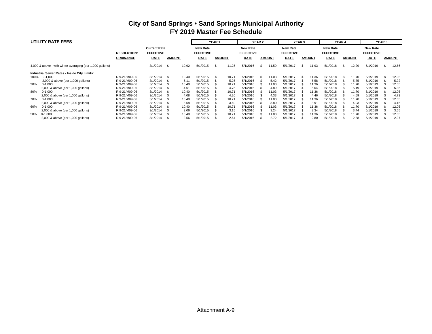|      | UTILITY RATE FEES                                         |                   |                     |               |       |                  | YEAR 1 |               |                  | YEAR 2 |               |                  | YEAR 3 |               |                  | YEAR 4 |               |                  | <b>YEAR 5</b> |               |
|------|-----------------------------------------------------------|-------------------|---------------------|---------------|-------|------------------|--------|---------------|------------------|--------|---------------|------------------|--------|---------------|------------------|--------|---------------|------------------|---------------|---------------|
|      |                                                           |                   | <b>Current Rate</b> |               |       | <b>New Rate</b>  |        |               | <b>New Rate</b>  |        |               | <b>New Rate</b>  |        |               | <b>New Rate</b>  |        |               | <b>New Rate</b>  |               |               |
|      |                                                           | <b>RESOLUTION</b> | <b>EFFECTIVE</b>    |               |       | <b>EFFECTIVE</b> |        |               | <b>EFFECTIVE</b> |        |               | <b>EFFECTIVE</b> |        |               | <b>EFFECTIVE</b> |        |               | <b>EFFECTIVE</b> |               |               |
|      |                                                           | <b>ORDINANCE</b>  | DATE                | <b>AMOUNT</b> |       | DATE             |        | <b>AMOUNT</b> | DATE             |        | <b>AMOUNT</b> | <b>DATE</b>      |        | <b>AMOUNT</b> | DATE             |        | <b>AMOUNT</b> | <b>DATE</b>      |               | <b>AMOUNT</b> |
|      | 4,000 & above - with winter averaging (per 1,000 gallons) |                   | 3/1/2014            | - \$          | 10.92 | 5/1/2015         | -S     | 11.25         | 5/1/2016         | \$.    | 1.59          | 5/1/2017         |        | 11.93         | 5/1/2018         |        | 12.29         | 5/1/2019         |               | 12.66         |
|      | Industrial Sewer Rates - Inside City Limits:              |                   |                     |               |       |                  |        |               |                  |        |               |                  |        |               |                  |        |               |                  |               |               |
| 100% | $0-1,000$                                                 | R 9-21/M09-06     | 3/1/2014            |               | 10.40 | 5/1/2015         |        | 10.71         | 5/1/2016         |        | 11.03         | 5/1/2017         |        | 11.36         | 5/1/2018         |        | 11.70         | 5/1/2019         |               | 12.05         |
|      | 2,000 & above (per 1,000 gallons)                         | R 9-21/M09-06     | 3/1/2014            |               | 5.11  | 5/1/2015         |        | 5.26          | 5/1/2016         |        | 5.42          | 5/1/2017         |        | 5.58          | 5/1/2018         |        | 5.75          | 5/1/2019         |               | 5.92          |
| 90%  | $0-1,000$                                                 | R 9-21/M09-06     | 3/1/2014            |               | 10.40 | 5/1/2015         |        | 10.71         | 5/1/2016         |        | 11.03         | 5/1/2017         |        | 11.36         | 5/1/2018         |        | 11.70         | 5/1/2019         |               | 12.05         |
|      | 2,000 & above (per 1,000 gallons)                         | R 9-21/M09-06     | 3/1/2014            |               | 4.61  | 5/1/2015         |        | 4.75          | 5/1/2016         |        | 4.89          | 5/1/2017         |        | 5.04          | 5/1/2018         |        | 5.19          | 5/1/2019         |               | 5.35          |
| 80%  | $0-1,000$                                                 | R 9-21/M09-06     | 3/1/2014            |               | 10.40 | 5/1/2015         |        | 10.71         | 5/1/2016         |        | 11.03         | 5/1/2017         |        | 11.36         | 5/1/2018         |        | 11.70         | 5/1/2019         |               | 12.05         |
|      | 2,000 & above (per 1,000 gallons)                         | R 9-21/M09-06     | 3/1/2014            |               | 4.08  | 5/1/2015         |        | 4.20          | 5/1/2016         |        | 4.33          | 5/1/2017         |        | 4.46          | 5/1/2018         |        | 4.59          | 5/1/2019         |               | 4.73          |
| 70%  | $0-1,000$                                                 | R 9-21/M09-06     | 3/1/2014            |               | 10.40 | 5/1/2015         |        | 10.71         | 5/1/2016         |        | 11.03         | 5/1/2017         |        | 11.36         | 5/1/2018         |        | 11.70         | 5/1/2019         |               | 12.05         |
|      | 2,000 & above (per 1,000 gallons)                         | R 9-21/M09-06     | 3/1/2014            |               | 3.58  | 5/1/2015         |        | 3.69          | 5/1/2016         |        | 3.80          | 5/1/2017         |        | 3.91          | 5/1/2018         |        | 4.03          | 5/1/2019         |               | 4.15          |
| 60%  | $0-1,000$                                                 | R 9-21/M09-06     | 3/1/2014            |               | 10.40 | 5/1/2015         |        | 10.71         | 5/1/2016         |        | 11.03         | 5/1/2017         |        | 11.36         | 5/1/2018         |        | 11.70         | 5/1/2019         |               | 12.05         |
|      | 2,000 & above (per 1,000 gallons)                         | R 9-21/M09-06     | 3/1/2014            |               | 3.06  | 5/1/2015         |        | 3.15          | 5/1/2016         |        | 3.24          | 5/1/2017         |        | 3.34          | 5/1/2018         |        | 3.44          | 5/1/2019         |               | 3.55          |
| 50%  | $0-1,000$                                                 | R 9-21/M09-06     | 3/1/2014            |               | 10.40 | 5/1/2015         |        | 10.71         | 5/1/2016         |        | 11.03         | 5/1/2017         |        | 11.36         | 5/1/2018         |        | 11.70         | 5/1/2019         |               | 12.05         |
|      | 2,000 & above (per 1,000 gallons)                         | R 9-21/M09-06     | 3/1/2014            |               | 2.56  | 5/1/2015         |        | 2.64          | 5/1/2016         |        | 2.72          | 5/1/2017         |        | 2.80          | 5/1/2018         |        | 2.88          | 5/1/2019         |               | 2.97          |

#### Attachment A-9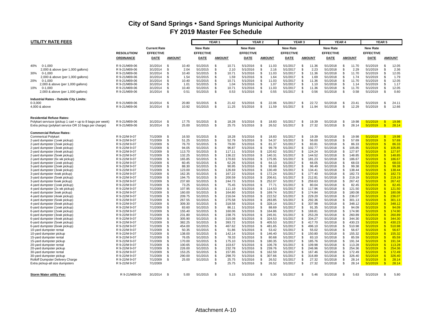| <b>UTILITY RATE FEES</b>                                                                      |                                |                      |                |                  |                      | YEAR <sub>1</sub> |                  |                      | YEAR 2    |                  |                      | YEAR <sub>3</sub>    |                  |                      | YEAR 4         |                  |                      | YEAR <sub>5</sub>   |                  |
|-----------------------------------------------------------------------------------------------|--------------------------------|----------------------|----------------|------------------|----------------------|-------------------|------------------|----------------------|-----------|------------------|----------------------|----------------------|------------------|----------------------|----------------|------------------|----------------------|---------------------|------------------|
|                                                                                               |                                | <b>Current Rate</b>  |                |                  | <b>New Rate</b>      |                   |                  | <b>New Rate</b>      |           |                  | <b>New Rate</b>      |                      |                  | <b>New Rate</b>      |                |                  | <b>New Rate</b>      |                     |                  |
|                                                                                               | <b>RESOLUTION/</b>             | <b>EFFECTIVE</b>     |                |                  | <b>EFFECTIVE</b>     |                   |                  | <b>EFFECTIVE</b>     |           |                  | <b>EFFECTIVE</b>     |                      |                  | <b>EFFECTIVE</b>     |                |                  | <b>EFFECTIVE</b>     |                     |                  |
|                                                                                               | <b>ORDINANCE</b>               | DATE                 | <b>AMOUNT</b>  |                  | DATE                 |                   | <b>AMOUNT</b>    | DATE                 |           | <b>AMOUNT</b>    |                      |                      | <b>AMOUNT</b>    | <b>DATE</b>          |                | <b>AMOUNT</b>    | DATE                 |                     | <b>AMOUNT</b>    |
|                                                                                               |                                |                      |                |                  |                      |                   |                  |                      |           |                  | DATE                 |                      |                  |                      |                |                  |                      |                     |                  |
| 40%<br>$0 - 1.000$                                                                            | R 9-21/M09-06                  | 3/1/2014             | -\$            | 10.40            | 5/1/2015             | -S                | 10.71            | 5/1/2016             | \$        | 11.03            | 5/1/2017             | \$                   | 11.36            | 5/1/2018             | <b>S</b>       | 11.70            | 5/1/2019             | -\$                 | 12.05            |
| 2,000 & above (per 1,000 gallons)                                                             | R 9-21/M09-06                  | 3/1/2014             | -\$            | 2.04             | 5/1/2015             | - \$              | 2.10             | 5/1/2016             | \$.       | 2.16             | 5/1/2017             | $\mathfrak{L}$       | 2.23             | 5/1/2018             | -S             | 2.29             | 5/1/2019             | -96                 | 2.36             |
| 30%<br>$0 - 1,000$                                                                            | R 9-21/M09-06                  | 3/1/2014             | -\$            | 10.40            | 5/1/2015             | -S                | 10.71            | 5/1/2016             | \$        | 11.03            | 5/1/2017             | \$                   | 11.36            | 5/1/2018             | <b>S</b>       | 11.70            | 5/1/2019             | -\$                 | 12.05            |
| 2,000 & above (per 1,000 gallons)                                                             | R 9-21/M09-06                  | 3/1/2014             | - \$           | 1.54             | 5/1/2015             | - \$              | 1.59             | 5/1/2016             | \$        | 1.64             | 5/1/2017             | \$                   | 1.69             | 5/1/2018             | -S             | 1.74             | 5/1/2019             | -\$                 | 1.79             |
| 20%<br>$0-1,000$                                                                              | R 9-21/M09-06                  | 3/1/2014             | -\$            | 10.40            | 5/1/2015             | \$                | 10.71            | 5/1/2016             | \$        | 11.03            | 5/1/2017             | \$                   | 11.36            | 5/1/2018             | -S             | 11.70            | 5/1/2019             | - \$                | 12.05            |
| 2,000 & above (per 1,000 gallons)                                                             | R 9-21/M09-06                  | 3/1/2014             | $\mathfrak{L}$ | 1.01             | 5/1/2015             | \$                | 1.04             | 5/1/2016             | \$        | 1.07             | 5/1/2017             | \$                   | 1.10             | 5/1/2018             | -S             | 1.14             | 5/1/2019             | -\$                 | 1.17             |
| 10%<br>$0 - 1.000$                                                                            | R 9-21/M09-06                  | 3/1/2014             | -\$            | 10.40            | 5/1/2015             | -S                | 10.71            | 5/1/2016             | \$        | 11.03            | 5/1/2017             | \$                   | 11.36            | 5/1/2018             | -S             | 11.70            | 5/1/2019             | -\$                 | 12.05            |
| 2,000 & above (per 1,000 gallons)                                                             | R 9-21/M09-06                  | 3/1/2014             | \$             | 0.51             | 5/1/2015             | -S                | 0.53             | 5/1/2016             | \$        | 0.55             | 5/1/2017             | \$                   | 0.56             | 5/1/2018             | <b>S</b>       | 0.58             | 5/1/2019             | -\$                 | 0.60             |
| Industrial Rates - Outside City Limits:                                                       |                                |                      |                |                  |                      |                   |                  |                      |           |                  |                      |                      |                  |                      |                |                  |                      |                     |                  |
| $0 - 3,000$                                                                                   | R 9-21/M09-06                  | 3/1/2014             | -\$            | 20.80            | 5/1/2015             | - \$              | 21.42            | 5/1/2016             | \$        | 22.06            | 5/1/2017             | \$                   | 22.72            | 5/1/2018             | -S             | 23.41            | 5/1/2019             | \$                  | 24.11            |
| 4,000 & above                                                                                 | R 9-21/M09-06                  | 3/1/2014             | -\$            | 10.92            | 5/1/2015             | - \$              | 11.25            | 5/1/2016             | \$        | 11.59            | 5/1/2017             | \$                   | 11.94            | 5/1/2018             | -S             | 12.29            | 5/1/2019             | -\$                 | 12.66            |
|                                                                                               |                                |                      |                |                  |                      |                   |                  |                      |           |                  |                      |                      |                  |                      |                |                  |                      |                     |                  |
| <b>Residential Refuse Rates:</b><br>Polykart serviuce (pickup 1 cart + up to 8 bags per week) | R 9-21/M09-06                  | 3/1/2014             | -\$            | 17.75            | 5/1/2015             | -S                | 18.28            | 5/1/2016             | \$        | 18.83            | 5/1/2017             | \$                   | 19.39            | 5/1/2018             | -S             | 19.98            | 5/1/2019             | -\$                 | 19.98            |
| Extra pickup (polykart service OR 10 bags per charge)                                         | R 9-21/M09-06                  | 3/1/2014             | \$             | 25.00            | 5/1/2015             | \$                | 25.75            | 5/1/2016             | \$        | 26.52            | 5/1/2017             | $\mathfrak{L}$       | 27.32            | 5/1/2018             | Ŝ.             | 28.14            | 5/1/2019             | $\mathbf{S}$        | 28.14            |
| <b>Commercial Refuse Rates:</b>                                                               |                                |                      |                |                  |                      |                   |                  |                      |           |                  |                      |                      |                  |                      |                |                  |                      |                     |                  |
| <b>Commerical Polykart</b>                                                                    | R 9-22/M 9-07                  | 7/1/2009             | -\$            | 16.50            | 5/1/2015             | -S                | 18.28            | 5/1/2016             | \$        | 18.83            | 5/1/2017             | \$                   | 19.39            | 5/1/2018             | -S             | 19.98            | 5/1/2019             | -\$                 | 19.98            |
| 2-yard dumpster (1xwk pickup)                                                                 | R 9-22/M 9-07                  | 7/1/2009             | \$             | 51.25            | 5/1/2015             | -S                | 52.79            | 5/1/2016             | \$        | 54.37            | 5/1/2017             | \$                   | 56.00            | 5/1/2018             | Ŝ.             | 57.69            | 5/1/2019             | $\mathbf{s}$        | 57.69            |
| 2-yard dumpster (2xwk pickup)                                                                 | R 9-22/M 9-07                  | 7/1/2009             | -\$            | 76.70            | 5/1/2015             | \$                | 79.00            | 5/1/2016             | \$        | 81.37            | 5/1/2017             | \$                   | 83.81            | 5/1/2018             | £.             | 86.33            | 5/1/2019             | -\$                 | 86.33            |
| 2-yard dumpster (3xwk pickup)                                                                 | R 9-22/M 9-07                  | 7/1/2009             | - \$           | 94.05            | 5/1/2015             | -S                | 96.87            | 5/1/2016             | \$        | 99.78            | 5/1/2017             | \$                   | 102.77           | 5/1/2018             | -S             | 105.85           | 5/1/2019             | -\$                 | 105.85           |
| 2-yard dumpster (4xwk pickup)                                                                 | R 9-22/M 9-07                  | 7/1/2009             | - \$           | 113.70           | 5/1/2015             | -S                | 117.11           | 5/1/2016             | \$        | 120.62           | 5/1/2017             | \$                   | 124.24           | 5/1/2018             | -S             | 127.97           | 5/1/2019             | £.                  | 127.97           |
| 2-yard dumpster (5xwk pickup)                                                                 | R 9-22/M 9-07                  | 7/1/2009             | - \$           | 132.25           | 5/1/2015             | -S                | 136.22           | 5/1/2016             | \$        | 140.31           | 5/1/2017             | \$                   | 144.52           | 5/1/2018             | -S             | 148.85           | 5/1/2019             | £.                  | 148.85           |
| 2-yard dumpster (6x wk pickup)                                                                | R 9-22/M 9-07                  | 7/1/2009             | \$             | 165.85           | 5/1/2015             | \$                | 170.83           | 5/1/2016             | \$        | 175.95           | 5/1/2017             | \$                   | 181.23           | 5/1/2018             | -S             | 186.67           | 5/1/2019             | -\$                 | 186.67           |
| 3-yard dumpster (1xwk pickup)                                                                 | R 9-22/M 9-07<br>R 9-22/M 9-07 | 7/1/2009<br>7/1/2009 | - \$<br>- \$   | 60.45<br>88.30   | 5/1/2015<br>5/1/2015 | \$.<br>S.         | 62.26<br>90.95   | 5/1/2016<br>5/1/2016 | \$<br>\$  | 64.13<br>93.68   | 5/1/2017<br>5/1/2017 | \$<br>\$.            | 66.05<br>96.49   | 5/1/2018<br>5/1/2018 | <b>S</b><br>£. | 68.03<br>99.38   | 5/1/2019<br>5/1/2019 | $\mathbf{R}$<br>-\$ | 68.03<br>99.38   |
| 3-yard dumpster (2xwk pickup)<br>3-yard dumpster (3xwk pickup)                                | R 9-22/M 9-07                  | 7/1/2009             | \$             | 123.00           | 5/1/2015             | \$                | 126.69           | 5/1/2016             | \$        | 130.49           | 5/1/2017             | \$                   | 134.41           | 5/1/2018             | -S             | 138.44           | 5/1/2019             | $\mathbf{R}$        | 138.44           |
| 3-yard dumpster 4xwk pickup)                                                                  | R 9-22/M 9-07                  | 7/1/2009             | -\$            | 162.35           | 5/1/2015             | -S                | 167.22           | 5/1/2016             | \$        | 172.24           | 5/1/2017             | \$.                  | 177.40           | 5/1/2018             | -S             | 182.73           | 5/1/2019             | £.                  | 182.73           |
| 3-yard dumpster (5xwk pickup)                                                                 | R 9-22/M 9-07                  | 7/1/2009             | \$             | 194.75           | 5/1/2015             | \$                | 200.59           | 5/1/2016             | \$        | 206.61           | 5/1/2017             | \$                   | 212.81           | 5/1/2018             | <b>S</b>       | 219.19           | 5/1/2019             | -\$                 | 219.19           |
| 3-yard dumpster 6xwk pickup)                                                                  | R 9-22/M 9-07                  | 7/1/2009             | \$             | 237.60           | 5/1/2015             | -S                | 244.73           | 5/1/2016             | \$        | 252.07           | 5/1/2017             | \$                   | 259.63           | 5/1/2018             | <b>S</b>       | 267.42           | 5/1/2019             | $\mathbf{R}$        | 267.42           |
| 4-yard dumpster (1xwk pickup)                                                                 | R 9-22/M 9-07                  | 7/1/2009             | - \$           | 73.25            | 5/1/2015             | -S                | 75.45            | 5/1/2016             | \$.       | 77.71            | 5/1/2017             | \$.                  | 80.04            | 5/1/2018             | £.             | 82.45            | 5/1/2019             |                     | 82.45            |
| 4-yard dumpster (2x wk pickup)                                                                | R 9-22/M 9-07                  | 7/1/2009             | \$             | 107.95           | 5/1/2015             | \$                | 111.19           | 5/1/2016             | \$        | 114.53           | 5/1/2017             | \$                   | 117.96           | 5/1/2018             | -S             | 121.50           | 5/1/2019             | \$                  | 121.50           |
| 4-yard dumpster 3xwk pickup)                                                                  | R 9-22/M 9-07                  | 7/1/2009             | -\$            | 160.00           | 5/1/2015             | \$.               | 164.80           | 5/1/2016             | \$.       | 169.74           | 5/1/2017             | \$.                  | 174.84           | 5/1/2018             | £.             | 180.08           | 5/1/2019             | ፍ                   | 180.08           |
| 4-yard dumpster (4xwk pickup)                                                                 | R 9-22/M 9-07                  | 7/1/2009             | \$             | 209.75           | 5/1/2015             | -S                | 216.04           | 5/1/2016             | \$        | 222.52           | 5/1/2017             | \$                   | 229.20           | 5/1/2018             | -S             | 236.07           | 5/1/2019             | £.                  | 236.07           |
| 4-yard dumpster (5xwk pickup)                                                                 | R 9-22/M 9-07                  | 7/1/2009             | \$             | 267.55           | 5/1/2015             | \$                | 275.58           | 5/1/2016             | \$        | 283.85           | 5/1/2017             | \$                   | 292.36           | 5/1/2018             | -S             | 301.13           | 5/1/2019             | -\$                 | 301.13           |
| 4-yard dumpster (6xwk pickup)                                                                 | R 9-22/M 9-07                  | 7/1/2009             | -\$            | 309.30           | 5/1/2015             | -S                | 318.58           | 5/1/2016             | \$        | 328.14           | 5/1/2017             | \$                   | 337.98           | 5/1/2018             | -S             | 348.12           | 5/1/2019             | -\$                 | 348.12           |
| 6-yard dumpster (1xwk pickup)                                                                 | R 9-22/M 9-07                  | 7/1/2009             | <b>S</b>       | 83.60            | 5/1/2015             | \$                | 86.11            | 5/1/2016             | \$        | 88.69            | 5/1/2017             | \$                   | 91.35            | 5/1/2018             | -S             | 94.09            | 5/1/2019             | $\mathbf{R}$        | 94.09            |
| 6-yard dumpster (2xwk pickup)                                                                 | R 9-22/M 9-07                  | 7/1/2009             | \$<br>-\$      | 155.40           | 5/1/2015             | \$                | 160.06           | 5/1/2016             | \$        | 164.86           | 5/1/2017             | \$<br>$\mathfrak{L}$ | 169.81           | 5/1/2018             | <b>S</b>       | 174.90           | 5/1/2019             | $\mathbf{R}$<br>£.  | 174.90           |
| 6-yard dumpster (3xwk pickup)                                                                 | R 9-22/M 9-07<br>R 9-22/M 9-07 | 7/1/2009<br>7/1/2009 | \$             | 231.80<br>305.90 | 5/1/2015<br>5/1/2015 | - \$<br>\$        | 238.75<br>315.08 | 5/1/2016<br>5/1/2016 | \$.<br>\$ | 245.91<br>324.53 | 5/1/2017<br>5/1/2017 | \$                   | 253.29<br>334.27 | 5/1/2018<br>5/1/2018 | -S<br><b>S</b> | 260.89<br>344.30 | 5/1/2019<br>5/1/2019 | -\$                 | 260.89<br>344.30 |
| 6-yard dumpster (4xwk pickup)<br>6-yard dumpster (5xwk pickup)                                | R 9-22/M 9-07                  | 7/1/2009             | \$             | 382.25           | 5/1/2015             | \$                | 393.72           | 5/1/2016             | \$        | 405.53           | 5/1/2017             | \$                   | 417.70           | 5/1/2018             | -S             | 430.23           | 5/1/2019             | -\$                 | 430.23           |
| 6-yard dumpster (6xwk pickup)                                                                 | R 9-22/M 9-07                  | 7/1/2009             | - \$           | 454.00           | 5/1/2015             | \$                | 467.62           | 5/1/2016             | \$        | 481.65           | 5/1/2017             | \$                   | 496.10           | 5/1/2018             | -S             | 510.98           | 5/1/2019             | £.                  | 510.98           |
| 10-yard dumpster rental                                                                       | R 9-22/M 9-07                  | 7/1/2009             | $\mathfrak{L}$ | 50.35            | 5/1/2015             | \$                | 51.86            | 5/1/2016             | \$        | 53.42            | 5/1/2017             | \$                   | 55.02            | 5/1/2018             | -S             | 56.67            | 5/1/2019             | £.                  | 56.67            |
| 10-yard dumpster pickup                                                                       | R 9-22/M 9-07                  | 7/1/2009             | \$             | 138.00           | 5/1/2015             | \$                | 142.14           | 5/1/2016             | \$        | 146.40           | 5/1/2017             | \$                   | 150.80           | 5/1/2018             | -S             | 155.32           | 5/1/2019             | -\$                 | 155.32           |
| 15-yard dumpster rental                                                                       | R 9-22/M 9-07                  | 7/1/2009             | \$             | 76.05            | 5/1/2015             | -S                | 78.33            | 5/1/2016             | \$        | 80.68            | 5/1/2017             | \$                   | 83.10            | 5/1/2018             | <b>S</b>       | 85.59            | 5/1/2019             | $\mathbf{R}$        | 85.59            |
| 15-yard dumpster pickup                                                                       | R 9-22/M 9-07                  | 7/1/2009             | -\$            | 170.00           | 5/1/2015             | -S                | 175.10           | 5/1/2016             | \$        | 180.35           | 5/1/2017             | \$                   | 185.76           | 5/1/2018             | -S             | 191.34           | 5/1/2019             | -\$                 | 191.34           |
| 20-yard dumpster rental                                                                       | R 9-22/M 9-07                  | 7/1/2009             | \$             | 100.65           | 5/1/2015             | \$                | 103.67           | 5/1/2016             | \$        | 106.78           | 5/1/2017             | \$                   | 109.98           | 5/1/2018             | -S             | 113.28           | 5/1/2019             | $\mathbf{S}$        | 113.28           |
| 20-yard dumpster pickup                                                                       | R 9-22/M 9-07                  | 7/1/2009             | \$             | 226.00           | 5/1/2015             | \$                | 232.78           | 5/1/2016             | \$        | 239.76           | 5/1/2017             | \$                   | 246.96           | 5/1/2018             | <b>S</b>       | 254.36           | 5/1/2019             | £.                  | 254.36           |
| 30-yard dumpster rental                                                                       | R 9-22/M 9-07                  | 7/1/2009             | - \$           | 153.25           | 5/1/2015             | -S                | 157.85           | 5/1/2016             | S.        | 162.59           | 5/1/2017             | \$                   | 167.46           | 5/1/2018             | £.             | 172.49           | 5/1/2019             | -\$                 | 172.49           |
| 30-yard dumpster pickup                                                                       | R 9-22/M 9-07                  | 7/1/2009             | \$             | 290.00           | 5/1/2015             | S.                | 298.70           | 5/1/2016             | \$        | 307.66           | 5/1/2017             | \$                   | 316.89           | 5/1/2018             | -S             | 326.40           | 5/1/2019             | -\$                 | 326.40           |
| Rolloff Dumpster Delivery Charge                                                              | R 9-22/M 9-07                  | 7/1/2009             | - \$           | 25.00            | 5/1/2015             | -S                | 25.75            | 5/1/2016             | \$        | 26.52            | 5/1/2017             | \$                   | 27.32            | 5/1/2018             | <b>S</b>       | 28.14            | 5/1/2019             | $\mathbf{S}$        | 28.14            |
| Extra pickup-all size dumpsters                                                               | R 9-22/M 9-07                  | 7/1/2009             |                |                  |                      | \$.               | 25.75            | 5/1/2016             | \$        | 26.52            | 5/1/2017             | Ŝ.                   | 27.32            | 5/1/2018             | -S             | 28.14            | 5/1/2019             | -\$                 | 28.14            |
|                                                                                               |                                | 3/1/2014             | - \$           | 5.00             | 5/1/2015             | £.                | 5.15             | 5/1/2016             | ς.        | 5.30             | 5/1/2017             | £.                   | 5.46             | 5/1/2018             | ፍ              | 5.63             | 5/1/2019             | -96                 |                  |
| <b>Storm Water utility Fee:</b>                                                               | R 9-21/M09-06                  |                      |                |                  |                      |                   |                  |                      |           |                  |                      |                      |                  |                      |                |                  |                      |                     | 5.80             |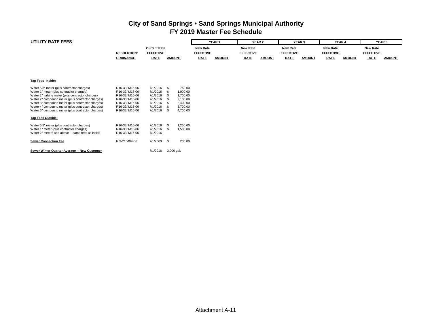| <b>UTILITY RATE FEES</b>                                                                                                                                                                                                                                                                                                                                       |                                                                                                                     |                                                                                  |                                                                                                               |                                     | YEAR <sub>1</sub> |                                     | YEAR 2        |                                     | YEAR <sub>3</sub> | YEAR 4                              |               |                                     | <b>YEAR 5</b> |
|----------------------------------------------------------------------------------------------------------------------------------------------------------------------------------------------------------------------------------------------------------------------------------------------------------------------------------------------------------------|---------------------------------------------------------------------------------------------------------------------|----------------------------------------------------------------------------------|---------------------------------------------------------------------------------------------------------------|-------------------------------------|-------------------|-------------------------------------|---------------|-------------------------------------|-------------------|-------------------------------------|---------------|-------------------------------------|---------------|
|                                                                                                                                                                                                                                                                                                                                                                | <b>RESOLUTION/</b>                                                                                                  | <b>Current Rate</b><br><b>EFFECTIVE</b>                                          |                                                                                                               | <b>New Rate</b><br><b>EFFECTIVE</b> |                   | <b>New Rate</b><br><b>EFFECTIVE</b> |               | <b>New Rate</b><br><b>EFFECTIVE</b> |                   | <b>New Rate</b><br><b>EFFECTIVE</b> |               | <b>New Rate</b><br><b>EFFECTIVE</b> |               |
|                                                                                                                                                                                                                                                                                                                                                                | <b>ORDINANCE</b>                                                                                                    | <b>DATE</b>                                                                      | <b>AMOUNT</b>                                                                                                 | <b>DATE</b>                         | <b>AMOUNT</b>     | <b>DATE</b>                         | <b>AMOUNT</b> | <b>DATE</b>                         | <b>AMOUNT</b>     | <b>DATE</b>                         | <b>AMOUNT</b> | <b>DATE</b>                         | <b>AMOUNT</b> |
| Tap Fees Inside:                                                                                                                                                                                                                                                                                                                                               |                                                                                                                     |                                                                                  |                                                                                                               |                                     |                   |                                     |               |                                     |                   |                                     |               |                                     |               |
| Water 5/8" meter (plus contractor charges)<br>Water 1" meter (plus contractor charges)<br>Water 2" turbine meter (plus contractor charges)<br>Water 2" compound meter (plus contractor charges)<br>Water 3" compound meter (plus contractor charges)<br>Water 4" compound meter (plus contractor charges)<br>Water 6" compound meter (plus contractor charges) | R16-33/M16-06<br>R16-33/M16-06<br>R16-33/M16-06<br>R16-33/M16-06<br>R16-33/M16-06<br>R16-33/M16-06<br>R16-33/M16-06 | 7/1/2016<br>7/1/2016<br>7/1/2016<br>7/1/2016<br>7/1/2016<br>7/1/2016<br>7/1/2016 | 750.00<br>- \$<br>1,000.00<br>-96<br>1,700.00<br>2,100.00<br>2,400.00<br>3,700.00<br>- \$<br>4,700.00<br>- \$ |                                     |                   |                                     |               |                                     |                   |                                     |               |                                     |               |
| <b>Tap Fees Outside:</b>                                                                                                                                                                                                                                                                                                                                       |                                                                                                                     |                                                                                  |                                                                                                               |                                     |                   |                                     |               |                                     |                   |                                     |               |                                     |               |
| Water 5/8" meter (plus contractor charges)<br>Water 1" meter (plus contractor charges)<br>Water 2" meters and above -- same fees as inside                                                                                                                                                                                                                     | R16-33/M16-06<br>R16-33/M16-06<br>R16-33/M16-06                                                                     | 7/1/2016<br>7/1/2016<br>7/1/2016                                                 | 1,250.00<br>- \$<br>$\mathfrak{L}$<br>1,500.00                                                                |                                     |                   |                                     |               |                                     |                   |                                     |               |                                     |               |
| <b>Sewer Connection Fee</b>                                                                                                                                                                                                                                                                                                                                    | R 9-21/M09-06                                                                                                       | 7/1/2009 \$                                                                      | 200.00                                                                                                        |                                     |                   |                                     |               |                                     |                   |                                     |               |                                     |               |
| Sewer Winter Quarter Average -- New Customer                                                                                                                                                                                                                                                                                                                   |                                                                                                                     | 7/1/2016                                                                         | 3,000 gal.                                                                                                    |                                     |                   |                                     |               |                                     |                   |                                     |               |                                     |               |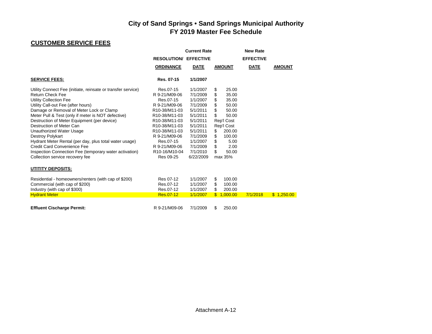## **CUSTOMER SERVICE FEES**

|                                                              |                                         | <b>Current Rate</b> |                            | <b>New Rate</b>  |               |
|--------------------------------------------------------------|-----------------------------------------|---------------------|----------------------------|------------------|---------------|
|                                                              | <b>RESOLUTION/ EFFECTIVE</b>            |                     |                            | <b>EFFECTIVE</b> |               |
|                                                              | <b>ORDINANCE</b>                        | <b>DATE</b>         | <b>AMOUNT</b>              | <b>DATE</b>      | <b>AMOUNT</b> |
| <b>SERVICE FEES:</b>                                         | Res. 07-15                              | 1/1/2007            |                            |                  |               |
| Utility Connect Fee (initiate, reinsate or transfer service) | Res.07-15                               | 1/1/2007            | 25.00<br>\$                |                  |               |
| <b>Return Check Fee</b>                                      | R 9-21/M09-06                           | 7/1/2009            | \$<br>35.00                |                  |               |
| Utility Collection Fee                                       | Res.07-15                               | 1/1/2007            | \$<br>35.00                |                  |               |
| Utility Call-out Fee (after hours)                           | R 9-21/M09-06                           | 7/1/2009            | \$<br>50.00                |                  |               |
| Damage or Removal of Meter Lock or Clamp                     | R <sub>10</sub> -38/M <sub>11</sub> -03 | 5/1/2011            | \$<br>50.00                |                  |               |
| Meter Pull & Test (only if meter is NOT defective)           | R10-38/M11-03                           | 5/1/2011            | \$<br>50.00                |                  |               |
| Destruction of Meter Equipment (per device)                  | R <sub>10</sub> -38/M <sub>11</sub> -03 | 5/1/2011            | Rep'l Cost                 |                  |               |
| Destruction of Meter Can                                     | R10-38/M11-03                           | 5/1/2011            | Rep'l Cost                 |                  |               |
| Unauthorized Water Usage                                     | R <sub>10</sub> -38/M <sub>11</sub> -03 | 5/1/2011            | 200.00<br>\$               |                  |               |
| Destroy Polykart                                             | R 9-21/M09-06                           | 7/1/2009            | \$<br>100.00               |                  |               |
| Hydrant Meter Rental (per day, plus total water usage)       | Res.07-15                               | 1/1/2007            | \$<br>5.00                 |                  |               |
| <b>Credit Card Convenience Fee</b>                           | R 9-21/M09-06                           | 7/1/2009            | \$<br>2.00                 |                  |               |
| Inspection Connection Fee (temporary water activation)       | R <sub>10</sub> -16/M <sub>10</sub> -04 | 7/1/2010            | \$<br>50.00                |                  |               |
| Collection service recovery fee                              | Res 09-25                               | 6/22/2009           | max 35%                    |                  |               |
| UTITITY DEPOSITS:                                            |                                         |                     |                            |                  |               |
| Residential - homeowners/renters (with cap of \$200)         | Res 07-12                               | 1/1/2007            | \$<br>100.00               |                  |               |
| Commercial (with cap of \$200)                               | Res.07-12                               | 1/1/2007            | \$<br>100.00               |                  |               |
| Industry (with cap of \$300)                                 | Res.07-12                               | 1/1/2007            | \$<br>200.00               |                  |               |
| <b>Hydrant Meter</b>                                         | Res.07-12                               | 1/1/2007            | $\mathbb{S}^-$<br>1,000.00 | 7/1/2018         | \$1,250.00    |
| <b>Effluent Cischarge Permit:</b>                            | R 9-21/M09-06                           | 7/1/2009            | \$<br>250.00               |                  |               |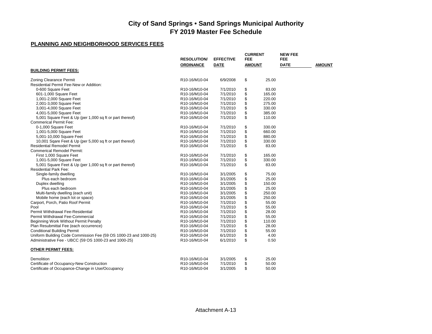### **PLANNING AND NEIGHBORHOOD SERVICES FEES**

|                                                                  | <b>RESOLUTION/</b>                      | <b>EFFECTIVE</b> | <b>CURRENT</b><br>FEE |        | <b>NEW FEE</b><br><b>FEE</b> |               |
|------------------------------------------------------------------|-----------------------------------------|------------------|-----------------------|--------|------------------------------|---------------|
|                                                                  | <b>ORDINANCE</b>                        | <b>DATE</b>      | <b>AMOUNT</b>         |        | <b>DATE</b>                  | <b>AMOUNT</b> |
| <b>BUILDING PERMIT FEES:</b>                                     |                                         |                  |                       |        |                              |               |
| <b>Zoning Clearance Permit</b>                                   | R10-16/M10-04                           | 6/9/2008         | \$                    | 25.00  |                              |               |
| Residential Permit Fee-New or Addition:                          |                                         |                  |                       |        |                              |               |
| 0-600 Square Feet                                                | R10-16/M10-04                           | 7/1/2010         | \$                    | 83.00  |                              |               |
| 601-1,000 Square Feet                                            | R10-16/M10-04                           | 7/1/2010         | \$                    | 165.00 |                              |               |
| 1,001-2,000 Square Feet                                          | R10-16/M10-04                           | 7/1/2010         | \$                    | 220.00 |                              |               |
| 2,001-3,000 Square Feet                                          | R10-16/M10-04                           | 7/1/2010         | \$                    | 275.00 |                              |               |
| 3,001-4,000 Square Feet                                          | R10-16/M10-04                           | 7/1/2010         | \$                    | 330.00 |                              |               |
| 4,001-5,000 Square Feet                                          | R10-16/M10-04                           | 7/1/2010         | \$                    | 385.00 |                              |               |
| 5,001 Square Feet & Up (per 1,000 sq ft or part thereof)         | R10-16/M10-04                           | 7/1/2010         | \$                    | 110.00 |                              |               |
| <b>Commerical Permit Fee:</b>                                    |                                         |                  |                       |        |                              |               |
| 0-1,000 Square Feet                                              | R10-16/M10-04                           | 7/1/2010         | \$                    | 330.00 |                              |               |
| 1,001-5,000 Square Feet                                          | R10-16/M10-04                           | 7/1/2010         | \$                    | 660.00 |                              |               |
| 5,001-10,000 Square Feet                                         | R10-16/M10-04                           | 7/1/2010         | \$                    | 880.00 |                              |               |
| 10,001 Sqare Feet & Up (per 5,000 sq ft or part thereof)         | R10-16/M10-04                           | 7/1/2010         | \$                    | 330.00 |                              |               |
| <b>Residential Remodel Permit</b>                                | R10-16/M10-04                           | 7/1/2010         | \$                    | 83.00  |                              |               |
| <b>Commerical Remodel Permit:</b>                                |                                         |                  |                       |        |                              |               |
| First 1,000 Square Feet                                          | R10-16/M10-04                           | 7/1/2010         | \$                    | 165.00 |                              |               |
| 1,001-5,000 Square Feet                                          | R10-16/M10-04                           | 7/1/2010         | \$                    | 330.00 |                              |               |
| 5,001 Square Feet & Up (per 1,000 sq ft or part thereof)         | R10-16/M10-04                           | 7/1/2010         | \$                    | 83.00  |                              |               |
| <b>Residential Park Fee:</b>                                     |                                         |                  |                       |        |                              |               |
| Single-family dwelling                                           | R10-16/M10-04                           | 3/1/2005         | \$                    | 75.00  |                              |               |
| Plus each bedroom                                                | R10-16/M10-04                           | 3/1/2005         | \$                    | 25.00  |                              |               |
| Duplex dwelling                                                  | R10-16/M10-04                           | 3/1/2005         | \$                    | 150.00 |                              |               |
| Plus each bedroom                                                | R10-16/M10-04                           | 3/1/2005         | \$                    | 25.00  |                              |               |
| Multi-family dwelling (each unit)                                | R10-16/M10-04                           | 3/1/2005         | \$                    | 250.00 |                              |               |
| Mobile home (each lot or space)                                  | R10-16/M10-04                           | 3/1/2005         | \$                    | 250.00 |                              |               |
| Carport, Porch, Patio Roof Permit                                | R10-16/M10-04                           | 7/1/2010         | \$                    | 55.00  |                              |               |
| Pool                                                             | R10-16/M10-04                           | 7/1/2010         | \$                    | 55.00  |                              |               |
| Permit Withdrawal Fee-Residential                                | R <sub>10</sub> -16/M <sub>10</sub> -04 | 7/1/2010         | \$                    | 28.00  |                              |               |
| Permit Withdrawal Fee-Commercial                                 | R10-16/M10-04                           | 7/1/2010         | \$                    | 55.00  |                              |               |
| Beginning Work Without Permit Penalty                            | R10-16/M10-04                           | 7/1/2010         |                       | 110.00 |                              |               |
| Plan Resubmittal Fee (each occurrence)                           | R10-16/M10-04                           | 7/1/2010         | \$<br>\$              | 28.00  |                              |               |
|                                                                  |                                         |                  |                       | 55.00  |                              |               |
| <b>Conditional Building Permit</b>                               | R10-16/M10-04                           | 7/1/2010         | \$                    |        |                              |               |
| Uniform Building Code Commission Fee (59 OS 1000-23 and 1000-25) | R10-16/M10-04                           | 6/1/2010         | \$                    | 4.00   |                              |               |
| Administrative Fee - UBCC (59 OS 1000-23 and 1000-25)            | R10-16/M10-04                           | 6/1/2010         | \$                    | 0.50   |                              |               |
| <b>OTHER PERMIT FEES:</b>                                        |                                         |                  |                       |        |                              |               |
| Demolition                                                       | R10-16/M10-04                           | 3/1/2005         | \$                    | 25.00  |                              |               |
| Certificate of Occupancy-New Construction                        | R10-16/M10-04                           | 7/1/2010         | \$                    | 50.00  |                              |               |
| Certificate of Occupance-Change in Use/Occupancy                 | R10-16/M10-04                           | 3/1/2005         | \$                    | 50.00  |                              |               |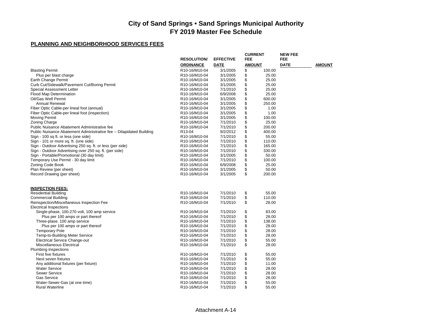### **PLANNING AND NEIGHBORHOOD SERVICES FEES**

|                                                                                              |                                         |                      | <b>CURRENT</b> |                 | <b>NEW FEE</b>     |               |
|----------------------------------------------------------------------------------------------|-----------------------------------------|----------------------|----------------|-----------------|--------------------|---------------|
|                                                                                              | <b>RESOLUTION/</b>                      | <b>EFFECTIVE</b>     | <b>FEE</b>     |                 | FEE<br><b>DATE</b> |               |
|                                                                                              | <b>ORDINANCE</b>                        | <b>DATE</b>          | <b>AMOUNT</b>  |                 |                    | <b>AMOUNT</b> |
| <b>Blasting Permit</b>                                                                       | R10-16/M10-04                           | 3/1/2005             | \$             | 100.00          |                    |               |
| Plus per blast charge                                                                        | R <sub>10</sub> -16/M <sub>10</sub> -04 | 3/1/2005             | \$<br>\$       | 25.00<br>25.00  |                    |               |
| Earth Change Permit                                                                          | R <sub>10</sub> -16/M <sub>10</sub> -04 | 3/1/2005             |                |                 |                    |               |
| Curb Cut/Sidewalk/Pavement Cut/Boring Permit                                                 | R10-16/M10-04                           | 3/1/2005             | \$<br>\$       | 25.00           |                    |               |
| Special Assessment Letter                                                                    | R10-16/M10-04                           | 7/1/2010             |                | 25.00<br>25.00  |                    |               |
| <b>Flood Map Determination</b><br>Oil/Gas Well Permit                                        | R10-16/M10-04                           | 6/9/2008<br>3/1/2005 | \$             | 600.00          |                    |               |
|                                                                                              | R10-16/M10-04                           |                      | \$             |                 |                    |               |
| <b>Annual Renewal</b>                                                                        | R10-16/M10-04                           | 3/1/2005             | \$<br>\$       | 250.00          |                    |               |
| Fiber Optic Cable-per lineal foot (annual)<br>Fiber Optic Cable-per lineal foot (inspection) | R10-16/M10-04                           | 3/1/2005             |                | 1.00<br>1.00    |                    |               |
|                                                                                              | R10-16/M10-04                           | 3/1/2005             | \$<br>\$       |                 |                    |               |
| Moving Permit                                                                                | R10-16/M10-04                           | 3/1/2005             |                | 100.00<br>25.00 |                    |               |
| Zoning Charge<br>Public Nuisance Abatement Administrative fee                                | R10-16/M10-04<br>R10-16/M10-04          | 7/1/2010<br>7/1/2010 | \$             | 200.00          |                    |               |
|                                                                                              | R13-04                                  |                      | \$             | 400.00          |                    |               |
| Public Nuisance Abatement Administrative fee -- Dilapidated Building                         | R10-16/M10-04                           | 9/2/2012<br>7/1/2010 | \$             | 55.00           |                    |               |
| Sign - 100 sq ft. or less (one side)<br>Sign - 101 or more sq. ft. (one side)                | R10-16/M10-04                           | 7/1/2010             | \$             | 110.00          |                    |               |
| Sign - Outdoor Advertising 250 sq. ft. or less (per side)                                    |                                         | 7/1/2010             | \$<br>\$       | 165.00          |                    |               |
|                                                                                              | R10-16/M10-04<br>R10-16/M10-04          | 7/1/2010             | \$             | 330.00          |                    |               |
| Sign - Outdoor Advertising over 250 sq. ft. (per side)                                       |                                         |                      | \$             |                 |                    |               |
| Sign - Portable/Promotional (30 day limit)                                                   | R10-16/M10-04                           | 3/1/2005             | \$             | 50.00           |                    |               |
| Temporary Use Permit - 30 day limit                                                          | R10-16/M10-04                           | 7/1/2010             |                | 100.00<br>25.00 |                    |               |
| Zoning Code Book<br>Plan Review (per sheet)                                                  | R10-16/M10-04                           | 6/9/2008             | \$<br>\$       | 50.00           |                    |               |
| Record Drawing (per sheet)                                                                   | R10-16/M10-04<br>R10-16/M10-04          | 3/1/2005<br>3/1/2005 | \$             | 200.00          |                    |               |
|                                                                                              |                                         |                      |                |                 |                    |               |
| <b>INSPECTION FEES:</b>                                                                      |                                         |                      |                |                 |                    |               |
| <b>Residential Building</b>                                                                  | R10-16/M10-04                           | 7/1/2010             | \$             | 55.00           |                    |               |
| Commercial Building                                                                          | R <sub>10</sub> -16/M <sub>10</sub> -04 | 7/1/2010             | \$<br>\$       | 110.00          |                    |               |
| Reinspection/Miscellaneous Inspection Fee                                                    | R10-16/M10-04                           | 7/1/2010             |                | 28.00           |                    |               |
| <b>Electrical Inspections</b>                                                                |                                         | 7/1/2010             |                | 83.00           |                    |               |
| Single-phase, 100-270 volt, 100 amp service                                                  | R10-16/M10-04<br>R10-16/M10-04          | 7/1/2010             | \$             | 28.00           |                    |               |
| Plus per 100 amps or part thereof                                                            | R10-16/M10-04                           | 7/1/2010             | \$<br>\$       | 138.00          |                    |               |
| Three-plase, 100 amp service<br>Plus per 100 amps or part thereof                            | R10-16/M10-04                           | 7/1/2010             | \$             | 28.00           |                    |               |
| <b>Temporary Pole</b>                                                                        | R10-16/M10-04                           | 7/1/2010             | \$             | 28.00           |                    |               |
| Temp-to-Building Meter Service                                                               | R10-16/M10-04                           | 7/1/2010             | \$             | 28.00           |                    |               |
| <b>Electrical Service Change-out</b>                                                         | R10-16/M10-04                           | 7/1/2010             | \$             | 55.00           |                    |               |
| Miscellaneous Electrical                                                                     | R10-16/M10-04                           | 7/1/2010             | \$             | 28.00           |                    |               |
| <b>Plumbing Inspections</b>                                                                  |                                         |                      |                |                 |                    |               |
| First five fixtures                                                                          | R10-16/M10-04                           | 7/1/2010             | \$             | 55.00           |                    |               |
| Next seven fixtures                                                                          | R10-16/M10-04                           | 7/1/2010             | \$             | 55.00           |                    |               |
| Any additional fixtures (per fixture)                                                        | R10-16/M10-04                           | 7/1/2010             | \$             | 11.00           |                    |               |
| <b>Water Service</b>                                                                         | R10-16/M10-04                           | 7/1/2010             | \$             | 28.00           |                    |               |
| <b>Sewer Service</b>                                                                         | R10-16/M10-04                           | 7/1/2010             | \$             | 28.00           |                    |               |
| <b>Gas Service</b>                                                                           | R <sub>10</sub> -16/M <sub>10</sub> -04 | 7/1/2010             | \$             | 28.00           |                    |               |
| Water-Sewer-Gas (at one time)                                                                | R <sub>10</sub> -16/M <sub>10</sub> -04 | 7/1/2010             | \$             | 55.00           |                    |               |
| <b>Rural Waterline</b>                                                                       | R10-16/M10-04                           | 7/1/2010             | \$             | 55.00           |                    |               |
|                                                                                              |                                         |                      |                |                 |                    |               |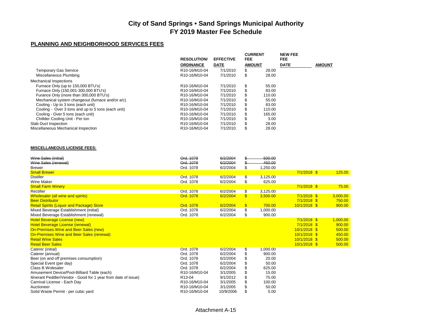#### **PLANNING AND NEIGHBORHOOD SERVICES FEES**

|                                                    | <b>RESOLUTION/</b>                      | <b>EFFECTIVE</b> | <b>CURRENT</b><br>FEE |        | <b>NEW FEE</b><br>FEE |               |
|----------------------------------------------------|-----------------------------------------|------------------|-----------------------|--------|-----------------------|---------------|
|                                                    |                                         |                  |                       |        |                       |               |
|                                                    | <b>ORDINANCE</b>                        | <b>DATE</b>      | <b>AMOUNT</b>         |        | <b>DATE</b>           | <b>AMOUNT</b> |
| <b>Temporary Gas Service</b>                       | R10-16/M10-04                           | 7/1/2010         | \$                    | 28.00  |                       |               |
| Miscellaneous Plumbing                             | R10-16/M10-04                           | 7/1/2010         | \$                    | 28.00  |                       |               |
| <b>Mechanical Inspections</b>                      |                                         |                  |                       |        |                       |               |
| Furnace Only (up to 150,000 BTU's)                 | R10-16/M10-04                           | 7/1/2010         | \$                    | 55.00  |                       |               |
| Furnace Only (150,001-300,000 BTU's)               | R <sub>10</sub> -16/M <sub>10</sub> -04 | 7/1/2010         | \$                    | 83.00  |                       |               |
| Furance Only (more than 300,000 BTU's)             | R <sub>10</sub> -16/M <sub>10-04</sub>  | 7/1/2010         | \$.                   | 110.00 |                       |               |
| Mechanical system changeout (furnace and/or a/c)   | R <sub>10</sub> -16/M <sub>10</sub> -04 | 7/1/2010         | \$                    | 55.00  |                       |               |
| Cooling - Up to 3 tons (each unit)                 | R <sub>10</sub> -16/M <sub>10-04</sub>  | 7/1/2010         | \$                    | 83.00  |                       |               |
| Cooling - Over 3 tons and up to 5 tons (each unit) | R <sub>10</sub> -16/M <sub>10</sub> -04 | 7/1/2010         | \$                    | 110.00 |                       |               |
| Cooling - Over 5 tons (each unit)                  | R <sub>10</sub> -16/M <sub>10</sub> -04 | 7/1/2010         | \$                    | 165.00 |                       |               |
| Chillder Cooling Unit - Per ton                    | R <sub>10</sub> -16/M <sub>10-04</sub>  | 7/1/2010         | \$                    | 3.00   |                       |               |
| Slab Duct Inspection                               | R <sub>10</sub> -16/M <sub>10</sub> -04 | 7/1/2010         | \$                    | 28.00  |                       |               |
| Miscellaneous Mechanical Inspection                | R <sub>10</sub> -16/M <sub>10</sub> -04 | 7/1/2010         | \$                    | 28.00  |                       |               |

#### **MISCELLANEOUS LICENSE FEES:**

| Wine Sales (initial)                                           | Ord. 1078     | 6/2/2004  |               | 500.00   |                |          |
|----------------------------------------------------------------|---------------|-----------|---------------|----------|----------------|----------|
| Wine Sales (renewal)                                           | Ord. 1078     | 6/2/2004  |               | 450.00   |                |          |
| <b>Brewer</b>                                                  | Ord. 1078     | 6/2/2004  | \$            | 1,250.00 |                |          |
| <b>Small Brewer</b>                                            |               |           |               |          | $7/1/2018$ \$  | 125.00   |
| <b>Distiller</b>                                               | Ord. 1078     | 6/2/2004  | \$            | 3,125.00 |                |          |
| <b>Wine Maker</b>                                              | Ord. 1078     | 6/2/2004  | \$            | 625.00   |                |          |
| <b>Small Farm Winery</b>                                       |               |           |               |          | $7/1/2018$ \$  | 75.00    |
| Rectifier                                                      | Ord. 1078     | 6/2/2004  | \$            | 3,125.00 |                |          |
| <b>Wholesaler (all wine and spirits)</b>                       | Ord. 1078     | 6/2/2004  | $\mathbf{\$}$ | 3,500.00 | $7/1/2018$ \$  | 3,000.00 |
| <b>Beer Distributor</b>                                        |               |           |               |          | $7/1/2018$ \$  | 750.00   |
| <b>Retail Spirits (Liquor and Package) Store</b>               | Ord. 1078     | 6/2/2004  | $\sqrt[3]{2}$ | 700.00   | $10/1/2018$ \$ | 900.00   |
| Mixed Beverage Establishment (initial)                         | Ord. 1078     | 6/2/2004  | \$            | 1,000.00 |                |          |
| Mixed Beverage Establishment (renewal)                         | Ord. 1078     | 6/2/2004  | \$            | 900.00   |                |          |
| <b>Hotel Beverage License (new)</b>                            |               |           |               |          | $7/1/2018$ \$  | 1,000.00 |
| <b>Hotel Beverage License (renewal)</b>                        |               |           |               |          | $7/1/2018$ \$  | 900.00   |
| On-Premises Wine and Beer Sales (new)                          |               |           |               |          | $10/1/2018$ \$ | 500.00   |
| <b>On-Premises Wine and Beer Sales (renewal)</b>               |               |           |               |          | $10/1/2018$ \$ | 450.00   |
| <b>Retail Wine Sales</b>                                       |               |           |               |          | $10/1/2018$ \$ | 500.00   |
| <b>Retail Beer Sales</b>                                       |               |           |               |          | $10/1/2018$ \$ | 500.00   |
| Caterer (initial)                                              | Ord. 1078     | 6/2/2004  | \$            | 1,000.00 |                |          |
| Caterer (annual)                                               | Ord. 1078     | 6/2/2004  | \$            | 900.00   |                |          |
| Beer (on and off premises consumption)                         | Ord. 1078     | 6/2/2004  |               | 20.00    |                |          |
| Special Event (per day)                                        | Ord. 1078     | 6/2/2004  | \$            | 50.00    |                |          |
| Class B Wolesaler                                              | Ord. 1078     | 6/2/2004  |               | 625.00   |                |          |
| Amusement Device/Pool-Billiard Table (each)                    | R10-16/M10-04 | 3/1/2005  |               | 15.00    |                |          |
| Itinerant Peddler/Vendor - Good for 1 year from date of issue) | R13-04        | 9/1/2012  | \$            | 75.00    |                |          |
| Carnival License - Each Day                                    | R10-16/M10-04 | 3/1/2005  |               | 100.00   |                |          |
| Auctioneer                                                     | R10-16/M10-04 | 3/1/2005  |               | 50.00    |                |          |
| Solid Waste Permit - per cubic yard                            | R10-16/M10-04 | 10/9/2006 | \$            | 5.00     |                |          |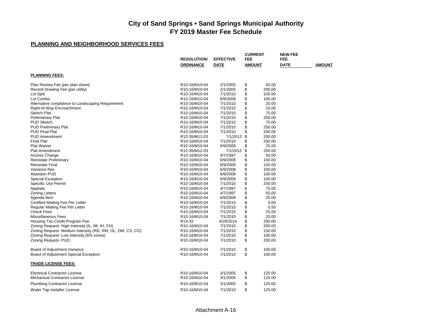### **PLANNING AND NEIGHBORHOOD SERVICES FEES**

|                                                           | <b>RESOLUTION/</b>                      | <b>EFFECTIVE</b> | <b>CURRENT</b><br><b>FEE</b> | <b>NEW FEE</b><br><b>FEE</b> |               |
|-----------------------------------------------------------|-----------------------------------------|------------------|------------------------------|------------------------------|---------------|
|                                                           | <b>ORDINANCE</b>                        | DATE             | <b>AMOUNT</b>                | <b>DATE</b>                  | <b>AMOUNT</b> |
| <b>PLANNING FEES:</b>                                     |                                         |                  |                              |                              |               |
| Plan Review Fee (per plan sheet)                          | R10-16/M10-04                           | 2/1/2005         | \$<br>50.00                  |                              |               |
| Record Drawing Fee (per utility)                          | R <sub>10</sub> -16/M <sub>10</sub> -04 | 2/1/2005         | \$<br>200.00                 |                              |               |
| Lot Split                                                 | R10-16/M10-04                           | 7/1/2010         | \$<br>100.00                 |                              |               |
| Lot Combo                                                 | R10-16/M10-04                           | 6/9/2008         | \$<br>100.00                 |                              |               |
| Alternative compliance to Landscaping Requirement         | R10-16/M10-04                           | 7/1/2010         | \$<br>25.00                  |                              |               |
| Right-of-Way Encroachment                                 | R10-16/M10-04                           | 7/1/2010         | \$<br>10.00                  |                              |               |
| <b>Sketch Plat</b>                                        | R <sub>10</sub> -16/M <sub>10</sub> -04 | 7/1/2010         | \$<br>75.00                  |                              |               |
| <b>Prelimanary Plat</b>                                   | R10-16/M10-04                           | 7/1/2010         | \$<br>200.00                 |                              |               |
| <b>PUD Sketch</b>                                         | R10-16/M10-04                           | 7/1/2010         | \$<br>75.00                  |                              |               |
| <b>PUD Preliminary Plat</b>                               | R <sub>10</sub> -16/M <sub>10</sub> -04 | 7/1/2010         | \$<br>250.00                 |                              |               |
| <b>PUD Final Plat</b>                                     | R10-16/M10-04                           | 7/1/2010         | \$<br>200.00                 |                              |               |
| <b>PUD Amendment</b>                                      | R12-35/M12-03                           | 7/1/2012         | \$<br>200.00                 |                              |               |
| <b>Final Plat</b>                                         | R10-16/M10-04                           | 7/1/2010         | \$<br>250.00                 |                              |               |
| <b>Plat Waiver</b>                                        | R10-16/M10-04                           | 6/9/2008         | \$<br>25.00                  |                              |               |
| <b>Plat Amendment</b>                                     | R12-35/M12-03                           | 7/1/2012         | \$<br>200.00                 |                              |               |
| Access Change                                             | R10-16/M10-04                           | 4/7/1997         | \$<br>50.00                  |                              |               |
| <b>Reinstate Preliminary</b>                              | R10-16/M10-04                           | 6/9/2008         | \$<br>100.00                 |                              |               |
| <b>Reinstate Final</b>                                    | R10-16/M10-04                           | 6/9/2008         | \$<br>100.00                 |                              |               |
| Variance Res                                              | R10-16/M10-04                           | 6/9/2008         | \$<br>100.00                 |                              |               |
| Abandon PUD                                               | R10-16/M10-04                           | 6/9/2008         | \$<br>100.00                 |                              |               |
| <b>Special Exception</b>                                  | R <sub>10</sub> -16/M <sub>10</sub> -04 | 6/9/2008         | \$<br>100.00                 |                              |               |
| Specific Use Permit                                       | R10-16/M10-04                           | 7/1/2010         | \$<br>200.00                 |                              |               |
| Appeals                                                   | R10-16/M10-04                           | 4/7/1997         | \$<br>75.00                  |                              |               |
| <b>Zoning Letters</b>                                     | R10-16/M10-04                           | 4/7/1997         | \$<br>50.00                  |                              |               |
| Agenda Item                                               | R10-16/M10-04                           | 6/9/2008         | \$<br>25.00                  |                              |               |
| Certified Mailing Fee Per Letter                          | R10-16/M10-04                           | 7/1/2010         | \$<br>4.00                   |                              |               |
| Regular Mailing Fee Per Letter                            | R10-16/M10-04                           | 7/1/2010         | \$<br>0.55                   |                              |               |
| <b>Check Fees</b>                                         | R10-16/M10-04                           | 7/1/2010         | \$<br>25.00                  |                              |               |
| <b>Miscellaneous Fees</b>                                 | R10-16/M10-04                           | 7/1/2010         | \$<br>20.00                  |                              |               |
| Housing Tax Credit Program Fee                            | R <sub>14</sub> -32                     | 4/28/2014        | \$<br>200.00                 |                              |               |
| Zoning Request-High Intensity (IL, IM, IH, CH)            | R10-16/M10-04                           | 7/1/2010         | \$<br>200.00                 |                              |               |
| Zoning Request- Medium Intensity (RD, RM, OL, OM, CS, CG) | R10-16/M10-04                           | 7/1/2010         | \$<br>150.00                 |                              |               |
| Zoning Request-Low Intensity (RS zones)                   | R10-16/M10-04                           | 7/1/2010         | \$<br>100.00                 |                              |               |
| Zoning Request- PUD                                       | R10-16/M10-04                           | 7/1/2010         | \$<br>200.00                 |                              |               |
|                                                           |                                         |                  |                              |                              |               |
| Board of Adjustment Variance                              | R10-16/M10-04                           | 7/1/2010         | \$<br>100.00                 |                              |               |
| Board of Adjustment Special Exception                     | R10-16/M10-04                           | 7/1/2010         | \$<br>100.00                 |                              |               |
| <b>TRADE LICENSE FEES:</b>                                |                                         |                  |                              |                              |               |
| <b>Electrical Contractor License</b>                      | R10-16/M10-04                           | 3/1/2005         | \$<br>125.00                 |                              |               |
| Michanical Contractor License                             | R10-16/M10-04                           | 3/1/2005         | \$<br>125.00                 |                              |               |
|                                                           | R10-16/M10-04                           | 3/1/2005         | \$<br>125.00                 |                              |               |
| <b>Plumbing Contractor License</b>                        |                                         |                  |                              |                              |               |
| Water Tap Installer License                               | R10-16/M10-04                           | 7/1/2010         | \$<br>125.00                 |                              |               |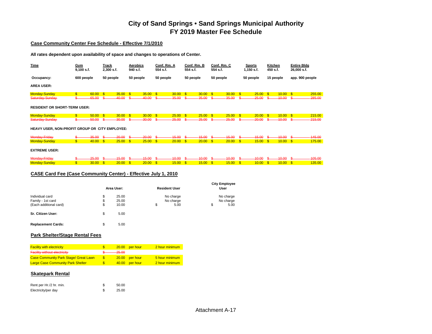#### **Case Community Center Fee Schedule - Effective 7/1/2010**

**All rates dependent upon availability of space and changes to operations of Center.**

| Time                                           | <u>Gym</u><br>$9,100$ s.f. |       | Track<br>2,300 s.f. |       | Aerobics<br>940 s.f. |       | Conf. Rm. A<br>554 s.f.   |       | Conf. Rm. B<br>554 s.f. |       | Conf. Rm. C<br>554 s.f. |       | <b>Sports</b><br>1,150 s.f. |       | Kitchen<br>450 s.f. |       | <b>Entire Bldg</b><br>26,000 s.f. |           |
|------------------------------------------------|----------------------------|-------|---------------------|-------|----------------------|-------|---------------------------|-------|-------------------------|-------|-------------------------|-------|-----------------------------|-------|---------------------|-------|-----------------------------------|-----------|
| Occupancy:                                     | 600 people                 |       | 50 people           |       | 50 people            |       | 50 people                 |       | 50 people               |       | 50 people               |       | 50 people                   |       | 15 people           |       | app. 900 people                   |           |
| <b>AREA USER:</b>                              |                            |       |                     |       |                      |       |                           |       |                         |       |                         |       |                             |       |                     |       |                                   |           |
| Monday-Sunday                                  | $\mathsf{s}$               | 60.00 | \$                  | 35.00 | $\mathsf{\$}$        | 35.00 | $\sqrt{3}$                | 30.00 | <b>S</b>                | 30.00 | \$                      | 30.00 | \$                          | 25.00 | \$                  | 10.00 | $\mathsf{\$}$                     | 255.00    |
| Saturday-Sunday                                |                            | 65.00 |                     | 40.00 |                      | 40.00 |                           | 35.00 |                         | 35.00 |                         | 35.00 |                             | 25.00 |                     | 10.00 |                                   | $-285.00$ |
| <b>RESIDENT OR SHORT-TERM USER:</b>            |                            |       |                     |       |                      |       |                           |       |                         |       |                         |       |                             |       |                     |       |                                   |           |
| Monday-Sunday                                  | \$                         | 50.00 | S                   | 30.00 | $\mathbf{s}$         | 30.00 | $\boldsymbol{\mathsf{s}}$ | 25.00 | <b>S</b>                | 25.00 |                         | 25.00 | \$                          | 20.00 | <sup>\$</sup>       | 10.00 | \$                                | 215.00    |
| Saturday-Sunday-                               |                            | 50.00 |                     | 30.00 |                      | 30.00 |                           | 25.00 |                         | 25.00 |                         | 25.00 |                             | 20.00 |                     | 10.00 |                                   | $-215.00$ |
| HEAVY USER, NON-PROFIT GROUP OR CITY EMPLOYEE: |                            |       |                     |       |                      |       |                           |       |                         |       |                         |       |                             |       |                     |       |                                   |           |
| Monday-Friday                                  |                            | 35.00 |                     | 20.00 |                      | 20.00 |                           | 45.00 |                         | 15.00 |                         | 15.00 |                             | 15.00 |                     | 10.00 |                                   | 445.00    |
| <b>Monday-Sunday</b>                           | $\mathbf{\$}$              | 40.00 | $\mathbf{s}$        | 25.00 | $\mathbf{s}$         | 25.00 | $\mathbf{s}$              | 20.00 | $\mathbf{s}$            | 20.00 | $\mathbf{s}$            | 20.00 | $\mathbf{s}$                | 15.00 | $\mathbf{s}$        | 10.00 | \$                                | 175.00    |
| <b>EXTREME USER:</b>                           |                            |       |                     |       |                      |       |                           |       |                         |       |                         |       |                             |       |                     |       |                                   |           |
| Monday-Friday                                  |                            | 25.00 |                     | 45.00 |                      | 15.00 |                           | 10.00 |                         | 10.00 |                         | 10.00 |                             | 10.00 |                     | 10.00 |                                   | 405.00    |
| Monday-Sunday                                  | $\overline{\mathbb{S}}$    | 30.00 | \$                  | 20.00 | $\mathbf{\$}$        | 20.00 | \$                        | 15.00 | <b>S</b>                | 15.00 | $\mathbf{\$}$           | 15.00 | \$                          | 10.00 | <sup>\$</sup>       | 10.00 | \$                                | 135.00    |

#### **CASE Card Fee (Case Community Center) - Effective July 1, 2010**

|                                      |          | Area User:     | <b>Resident User</b>   | <b>City Employee</b><br>User |
|--------------------------------------|----------|----------------|------------------------|------------------------------|
| Individual card<br>Family - 1st card | \$<br>\$ | 25.00<br>25.00 | No charge<br>No charge | No charge                    |
| (Each additional card)               | \$       | 10.00          | \$<br>5.00             | \$<br>No charge<br>5.00      |
| Sr. Citizen User:                    | \$       | 5.00           |                        |                              |

#### **Park Shelter/Stage Rental Fees**

**Replacement Cards:** \$ 5.00

| <b>Facility with electricity</b>             |          | 20.00 per hour | 2 hour minimum |
|----------------------------------------------|----------|----------------|----------------|
| <b>Facility without electricity</b>          | $-25.00$ |                |                |
| <b>Case Community Park Stage/ Great Lawn</b> |          | 20.00 per hour | 5 hour minimum |
| <b>Large Case Community Park Shelter</b>     |          | 40.00 per hour | 2 hour minimum |

#### **Skatepark Rental**

| Rent per Hr./2 hr. min. | 50.00 |
|-------------------------|-------|
| Electricity/per day     | 25.00 |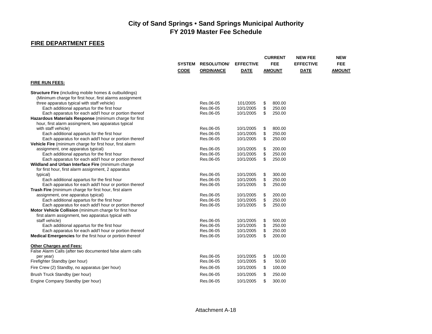## **FIRE DEPARTMENT FEES**

|                                                                                                            |               |                    |                  | <b>CURRENT</b> |               | <b>NEW FEE</b>   | <b>NEW</b>    |
|------------------------------------------------------------------------------------------------------------|---------------|--------------------|------------------|----------------|---------------|------------------|---------------|
|                                                                                                            | <b>SYSTEM</b> | <b>RESOLUTION/</b> | <b>EFFECTIVE</b> |                | <b>FEE</b>    | <b>EFFECTIVE</b> | <b>FEE</b>    |
|                                                                                                            | <b>CODE</b>   | <b>ORDINANCE</b>   | <b>DATE</b>      |                | <b>AMOUNT</b> | <b>DATE</b>      | <b>AMOUNT</b> |
| <b>FIRE RUN FEES:</b>                                                                                      |               |                    |                  |                |               |                  |               |
| <b>Structure Fire</b> (including mobile homes & outbuildings)                                              |               |                    |                  |                |               |                  |               |
| (Minimum charge for first hour, first alarms assignment                                                    |               |                    |                  |                |               |                  |               |
| three apparatus typical with staff vehicle)                                                                |               | Res.06-05          | 101/2005         | \$             | 800.00        |                  |               |
| Each additional appartus for the first hour                                                                |               | Res.06-05          | 10/1/2005        | \$             | 250.00        |                  |               |
| Each apparatus for each add'l hour or portion thereof                                                      |               | Res.06-05          | 10/1/2005        | \$             | 250.00        |                  |               |
| Hazardous Materials Response (minimum charge for first                                                     |               |                    |                  |                |               |                  |               |
| hour, first alarm assingment, two apparatus typical                                                        |               |                    |                  |                |               |                  |               |
| with staff vehicle)                                                                                        |               | Res.06-05          | 10/1/2005        | \$             | 800.00        |                  |               |
| Each additional appartus for the first hour                                                                |               | Res.06-05          | 10/1/2005        | \$             | 250.00        |                  |               |
| Each apparatus for each add'l hour or portion thereof                                                      |               | Res.06-05          | 10/1/2005        | \$             | 250.00        |                  |               |
| Vehicle Fire (minimum charge for first hour, first alarm                                                   |               |                    |                  |                |               |                  |               |
| assignment, one apparatus typical)                                                                         |               | Res.06-05          | 10/1/2005        | \$             | 200.00        |                  |               |
| Each additional appartus for the first hour                                                                |               | Res.06-05          | 10/1/2005        | \$             | 250.00        |                  |               |
| Each apparatus for each add'l hour or portion thereof<br>Wildland and Urban Interface Fire (minimum charge |               | Res.06-05          | 10/1/2005        | \$             | 250.00        |                  |               |
| for first hour, first alarm assignment, 2 apparatus                                                        |               |                    |                  |                |               |                  |               |
| typical)                                                                                                   |               | Res.06-05          | 10/1/2005        | \$             | 300.00        |                  |               |
| Each additional appartus for the first hour                                                                |               | Res.06-05          | 10/1/2005        | \$             | 250.00        |                  |               |
| Each apparatus for each add'l hour or portion thereof                                                      |               | Res.06-05          | 10/1/2005        | \$             | 250.00        |                  |               |
| Trash Fire (minimum charge for first hour, first alarm                                                     |               |                    |                  |                |               |                  |               |
| assignment, one apparatus typical)                                                                         |               | Res.06-05          | 10/1/2005        | \$             | 200.00        |                  |               |
| Each additional appartus for the first hour                                                                |               | Res.06-05          | 10/1/2005        | \$             | 250.00        |                  |               |
| Each apparatus for each add'l hour or portion thereof                                                      |               | Res.06-05          | 10/1/2005        | \$             | 250.00        |                  |               |
| Motor Vehicle Collision (minimum charge for first hour                                                     |               |                    |                  |                |               |                  |               |
| first alarm assignment, two apparatus typical with                                                         |               |                    |                  |                |               |                  |               |
| staff vehicle)                                                                                             |               | Res.06-05          | 10/1/2005        | \$             | 500.00        |                  |               |
| Each additional appartus for the first hour                                                                |               | Res.06-05          | 10/1/2005        | \$             | 250.00        |                  |               |
| Each apparatus for each add'l hour or portion thereof                                                      |               | Res.06-05          | 10/1/2005        | \$             | 250.00        |                  |               |
| <b>Medical Emergencies</b> for the first hour or portion thereof                                           |               | Res.06-05          | 10/1/2005        | \$             | 200.00        |                  |               |
| <b>Other Charges and Fees:</b>                                                                             |               |                    |                  |                |               |                  |               |
| False Alarm Calls (after two documented false alarm calls                                                  |               |                    |                  |                |               |                  |               |
| per year)                                                                                                  |               | Res.06-05          | 10/1/2005        | \$             | 100.00        |                  |               |
| Firefighter Standby (per hour)                                                                             |               | Res.06-05          | 10/1/2005        | \$             | 50.00         |                  |               |
| Fire Crew (2) Standby, no apparatus (per hour)                                                             |               | Res.06-05          | 10/1/2005        | \$             | 100.00        |                  |               |
| Brush Truck Standby (per hour)                                                                             |               | Res.06-05          | 10/1/2005        | \$             | 250.00        |                  |               |
| Engine Company Standby (per hour)                                                                          |               | Res.06-05          | 10/1/2005        | \$             | 300.00        |                  |               |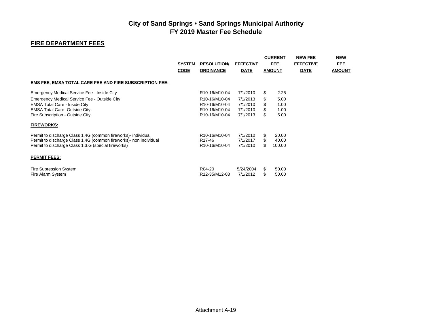## **FIRE DEPARTMENT FEES**

|                                                                    | <b>SYSTEM</b><br><b>CODE</b> | <b>RESOLUTION/</b><br><b>ORDINANCE</b>  | <b>EFFECTIVE</b><br><b>DATE</b> |     | <b>CURRENT</b><br><b>FEE</b><br><b>AMOUNT</b> | <b>NEW FEE</b><br><b>EFFECTIVE</b><br><b>DATE</b> | <b>NEW</b><br><b>FEE</b><br><b>AMOUNT</b> |
|--------------------------------------------------------------------|------------------------------|-----------------------------------------|---------------------------------|-----|-----------------------------------------------|---------------------------------------------------|-------------------------------------------|
| <b>EMS FEE, EMSA TOTAL CARE FEE AND FIRE SUBSCRIPTION FEE:</b>     |                              |                                         |                                 |     |                                               |                                                   |                                           |
| Emergency Medical Service Fee - Inside City                        |                              | R10-16/M10-04                           | 7/1/2010                        | \$  | 2.25                                          |                                                   |                                           |
| Emergency Medical Service Fee - Outside City                       |                              | R10-16/M10-04                           | 7/1/2013                        |     | 5.00                                          |                                                   |                                           |
| <b>EMSA Total Care - Inside City</b>                               |                              | R <sub>10</sub> -16/M <sub>10</sub> -04 | 7/1/2010                        | \$  | 1.00                                          |                                                   |                                           |
| <b>EMSA Total Care- Outside City</b>                               |                              | R10-16/M10-04                           | 7/1/2010                        |     | 1.00                                          |                                                   |                                           |
| Fire Subscription - Outside City                                   |                              | R10-16/M10-04                           | 7/1/2013                        | \$  | 5.00                                          |                                                   |                                           |
| <b>FIREWORKS:</b>                                                  |                              |                                         |                                 |     |                                               |                                                   |                                           |
| Permit to discharge Class 1.4G (common fireworks)- individual      |                              | R10-16/M10-04                           | 7/1/2010                        | \$. | 20.00                                         |                                                   |                                           |
| Permit to discharge Class 1.4G (common fireworks) - non individual |                              | R <sub>17</sub> -46                     | 7/1/2017                        |     | 40.00                                         |                                                   |                                           |
| Permit to discharge Class 1.3.G (special fireworks)                |                              | R10-16/M10-04                           | 7/1/2010                        | \$. | 100.00                                        |                                                   |                                           |
| <b>PERMIT FEES:</b>                                                |                              |                                         |                                 |     |                                               |                                                   |                                           |
| Fire Supression System                                             |                              | R04-20                                  | 5/24/2004                       | \$  | 50.00                                         |                                                   |                                           |
| Fire Alarm System                                                  |                              | R12-35/M12-03                           | 7/1/2012                        | \$  | 50.00                                         |                                                   |                                           |
|                                                                    |                              |                                         |                                 |     |                                               |                                                   |                                           |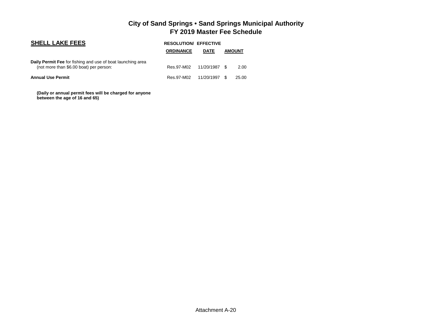| <b>SHELL LAKE FEES</b>                                                                                 | <b>RESOLUTION/ EFFECTIVE</b> |             |      |               |  |  |  |  |
|--------------------------------------------------------------------------------------------------------|------------------------------|-------------|------|---------------|--|--|--|--|
|                                                                                                        | <b>ORDINANCE</b>             | <b>DATE</b> |      | <b>AMOUNT</b> |  |  |  |  |
| Daily Permit Fee for fishing and use of boat launching area<br>(not more than \$6.00 boat) per person: | Res.97-M02 11/20/1987        |             | - \$ | 2.00          |  |  |  |  |
| <b>Annual Use Permit</b>                                                                               | Res.97-M02 11/20/1997        |             | - \$ | 25.00         |  |  |  |  |

 **(Daily or annual permit fees will be charged for anyone between the age of 16 and 65)**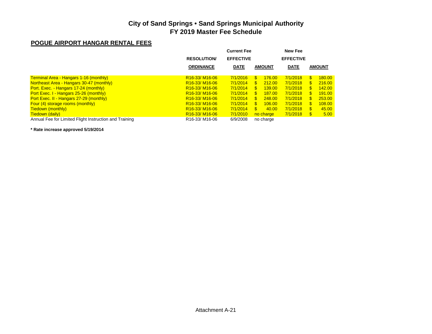## **POGUE AIRPORT HANGAR RENTAL FEES**

|                                        | Current Fee      |                         | New Fee          |     |               |
|----------------------------------------|------------------|-------------------------|------------------|-----|---------------|
| <b>RESOLUTION</b>                      | <b>EFFECTIVE</b> |                         | <b>EFFECTIVE</b> |     |               |
| <b>ORDINANCE</b>                       | <b>DATE</b>      | <b>AMOUNT</b>           | <b>DATE</b>      |     | <b>AMOUNT</b> |
| R <sub>16</sub> -33/M <sub>16-06</sub> | 7/1/2016         | $\mathcal{F}$<br>176.00 | 7/1/2018         | \$. | 180.00        |
| R <sub>16</sub> -33/M <sub>16-06</sub> | 7/1/2014         | 212.00<br>$\mathbb{S}$  | 7/1/2018         | S.  | 216.00        |
| R <sub>16</sub> -33/M <sub>16-06</sub> | 7/1/2014         | 139.00<br>S.            | 7/1/2018         | S.  | 142.00        |
| R <sub>16</sub> -33/M <sub>16-06</sub> | 7/1/2014         | 187.00<br><sup>\$</sup> | 7/1/2018         |     | 191.00        |
| R <sub>16</sub> -33/M <sub>16-06</sub> | 7/1/2014         | 248.00<br>S.            | 7/1/2018         | S.  | 253.00        |
| R <sub>16</sub> -33/M <sub>16-06</sub> | 7/1/2014         | 106.00<br>$\mathbf{S}$  | 7/1/2018         | S.  | 108.00        |
| R <sub>16</sub> -33/M <sub>16-06</sub> | 7/1/2014         | <sup>\$</sup><br>40.00  | 7/1/2018         | \$. | 45.00         |
| R <sub>16</sub> -33/M <sub>16-06</sub> | 7/1/2010         | no charge               | 7/1/2018         | \$. | 5.00          |
| R <sub>16</sub> -33/M <sub>16-06</sub> | 6/9/2008         | no charge               |                  |     |               |
|                                        |                  |                         |                  |     |               |

**\* Rate increase approved 5/19/2014**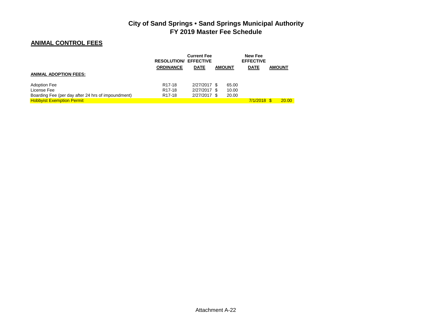## **ANIMAL CONTROL FEES**

|                                                    | <b>RESOLUTION/ EFFECTIVE</b> | <b>Current Fee</b> |               | <b>New Fee</b><br><b>EFFECTIVE</b> |               |
|----------------------------------------------------|------------------------------|--------------------|---------------|------------------------------------|---------------|
|                                                    | <b>ORDINANCE</b>             | <b>DATE</b>        | <b>AMOUNT</b> | <b>DATE</b>                        | <b>AMOUNT</b> |
| <b>ANIMAL ADOPTION FEES:</b>                       |                              |                    |               |                                    |               |
| <b>Adoption Fee</b>                                | R <sub>17-18</sub>           | 2/27/2017 \$       | 65.00         |                                    |               |
| License Fee                                        | R <sub>17</sub> -18          | 2/27/2017 \$       | 10.00         |                                    |               |
| Boarding Fee (per day after 24 hrs of impoundment) | R <sub>17</sub> -18          | 2/27/2017 \$       | 20.00         |                                    |               |
| <b>Hobbyist Exemption Permit</b>                   |                              |                    |               | $7/1/2018$ \$                      | <b>20.00</b>  |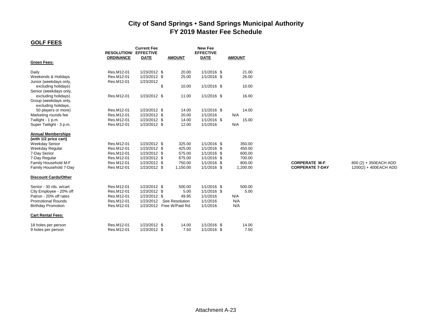### **GOLF FEES**

| <b>EFFECTIVE</b><br><b>EFFECTIVE</b><br><b>RESOLUTION/</b><br><b>ORDINANCE</b><br><b>DATE</b><br><b>AMOUNT</b><br><b>DATE</b><br><b>AMOUNT</b><br><b>Green Fees:</b><br>1/1/2016 \$<br>Res.M12-01<br>1/23/2012 \$<br>21.00<br>Daily<br>20.00<br>Res.M12-01<br>1/1/2016 \$<br>26.00<br>1/23/2012 \$<br>25.00<br>Weekends & Holidays<br>Res.M12-01<br>1/23/2012<br>Junior (weekdays only,<br>\$<br>1/1/2016 \$<br>excluding holidays)<br>10.00<br>10.00<br>Senior (weekdays only,<br>Res.M12-01<br>11.00<br>1/1/2016 \$<br>16.00<br>1/23/2012 \$<br>excluding holidays)<br>Group (weekdays only,<br>excluding holidays,<br>Res.M12-01<br>1/23/2012 \$<br>14.00<br>1/1/2016 \$<br>14.00<br>50 players or more)<br>N/A<br>Res.M12-01<br>1/23/2012 \$<br>20.00<br>1/1/2016<br>Marketing rounds fee<br>$1/1/2016$ \$<br>15.00<br>Twilight - 1 p.m.<br>Res.M12-01<br>1/23/2012 \$<br>14.00<br>1/23/2012 \$<br>12.00<br>N/A<br>Super Twilight - 3 p.m.<br>Res.M12-01<br>1/1/2016<br><b>Annual Memberships</b><br>(with 1/2 price cart)<br>Res.M12-01<br>1/23/2012 \$<br>$1/1/2016$ \$<br>350.00<br><b>Weekday Senior</b><br>325.00<br>450.00<br>Res.M12-01<br>1/23/2012 \$<br>425.00<br>1/1/2016 \$<br>Weekday Regular<br>7-Day Senior<br>Res.M12-01<br>1/23/2012 \$<br>575.00<br>$1/1/2016$ \$<br>600.00<br>675.00<br>1/1/2016 \$<br>700.00<br>Res.M12-01<br>1/23/2012 \$<br>7-Day Regular<br>Res M12-01<br>1/23/2012 \$<br>750.00<br>1/1/2016 \$<br>800.00<br><b>CORPERATE M-F</b><br>Family Household M-F<br>Family Household 7-Day<br>Res M12-01<br>1/23/2012 \$<br>1,150.00<br>1/1/2016 \$<br>1,200.00<br><b>CORPERATE 7-DAY</b><br><b>Discount Cards/Other</b><br>Res.M12-01<br>1/23/2012 \$<br>500.00<br>1/1/2016 \$<br>500.00<br>Senior - 30 rds. w/cart<br>Res.M12-01<br>5.00<br>$1/1/2016$ \$<br>5.00<br>City Employee - 20% off<br>1/23/2012 \$<br>Patron - 20% off rates<br>Res.M12-01<br>N/A<br>1/23/2012 \$<br>49.95<br>1/1/2016<br><b>Promotional Rounds</b><br>See Resolution<br>N/A<br>Res.M12-01<br>1/23/2012<br>1/1/2016<br>1/23/2012 Free W/Paid Rd.<br><b>Birthday Promotion</b><br>Res.M12-01<br>1/1/2016<br>N/A | <u> 501 LLU</u> |                    |                |  |
|--------------------------------------------------------------------------------------------------------------------------------------------------------------------------------------------------------------------------------------------------------------------------------------------------------------------------------------------------------------------------------------------------------------------------------------------------------------------------------------------------------------------------------------------------------------------------------------------------------------------------------------------------------------------------------------------------------------------------------------------------------------------------------------------------------------------------------------------------------------------------------------------------------------------------------------------------------------------------------------------------------------------------------------------------------------------------------------------------------------------------------------------------------------------------------------------------------------------------------------------------------------------------------------------------------------------------------------------------------------------------------------------------------------------------------------------------------------------------------------------------------------------------------------------------------------------------------------------------------------------------------------------------------------------------------------------------------------------------------------------------------------------------------------------------------------------------------------------------------------------------------------------------------------------------------------------------------------------------------------------------------------------------------------------------------------------------------------------------------------------------------|-----------------|--------------------|----------------|--|
|                                                                                                                                                                                                                                                                                                                                                                                                                                                                                                                                                                                                                                                                                                                                                                                                                                                                                                                                                                                                                                                                                                                                                                                                                                                                                                                                                                                                                                                                                                                                                                                                                                                                                                                                                                                                                                                                                                                                                                                                                                                                                                                                |                 | <b>Current Fee</b> | <b>New Fee</b> |  |
|                                                                                                                                                                                                                                                                                                                                                                                                                                                                                                                                                                                                                                                                                                                                                                                                                                                                                                                                                                                                                                                                                                                                                                                                                                                                                                                                                                                                                                                                                                                                                                                                                                                                                                                                                                                                                                                                                                                                                                                                                                                                                                                                |                 |                    |                |  |
|                                                                                                                                                                                                                                                                                                                                                                                                                                                                                                                                                                                                                                                                                                                                                                                                                                                                                                                                                                                                                                                                                                                                                                                                                                                                                                                                                                                                                                                                                                                                                                                                                                                                                                                                                                                                                                                                                                                                                                                                                                                                                                                                |                 |                    |                |  |
|                                                                                                                                                                                                                                                                                                                                                                                                                                                                                                                                                                                                                                                                                                                                                                                                                                                                                                                                                                                                                                                                                                                                                                                                                                                                                                                                                                                                                                                                                                                                                                                                                                                                                                                                                                                                                                                                                                                                                                                                                                                                                                                                |                 |                    |                |  |
|                                                                                                                                                                                                                                                                                                                                                                                                                                                                                                                                                                                                                                                                                                                                                                                                                                                                                                                                                                                                                                                                                                                                                                                                                                                                                                                                                                                                                                                                                                                                                                                                                                                                                                                                                                                                                                                                                                                                                                                                                                                                                                                                |                 |                    |                |  |
|                                                                                                                                                                                                                                                                                                                                                                                                                                                                                                                                                                                                                                                                                                                                                                                                                                                                                                                                                                                                                                                                                                                                                                                                                                                                                                                                                                                                                                                                                                                                                                                                                                                                                                                                                                                                                                                                                                                                                                                                                                                                                                                                |                 |                    |                |  |
|                                                                                                                                                                                                                                                                                                                                                                                                                                                                                                                                                                                                                                                                                                                                                                                                                                                                                                                                                                                                                                                                                                                                                                                                                                                                                                                                                                                                                                                                                                                                                                                                                                                                                                                                                                                                                                                                                                                                                                                                                                                                                                                                |                 |                    |                |  |
|                                                                                                                                                                                                                                                                                                                                                                                                                                                                                                                                                                                                                                                                                                                                                                                                                                                                                                                                                                                                                                                                                                                                                                                                                                                                                                                                                                                                                                                                                                                                                                                                                                                                                                                                                                                                                                                                                                                                                                                                                                                                                                                                |                 |                    |                |  |
|                                                                                                                                                                                                                                                                                                                                                                                                                                                                                                                                                                                                                                                                                                                                                                                                                                                                                                                                                                                                                                                                                                                                                                                                                                                                                                                                                                                                                                                                                                                                                                                                                                                                                                                                                                                                                                                                                                                                                                                                                                                                                                                                |                 |                    |                |  |
|                                                                                                                                                                                                                                                                                                                                                                                                                                                                                                                                                                                                                                                                                                                                                                                                                                                                                                                                                                                                                                                                                                                                                                                                                                                                                                                                                                                                                                                                                                                                                                                                                                                                                                                                                                                                                                                                                                                                                                                                                                                                                                                                |                 |                    |                |  |
|                                                                                                                                                                                                                                                                                                                                                                                                                                                                                                                                                                                                                                                                                                                                                                                                                                                                                                                                                                                                                                                                                                                                                                                                                                                                                                                                                                                                                                                                                                                                                                                                                                                                                                                                                                                                                                                                                                                                                                                                                                                                                                                                |                 |                    |                |  |
|                                                                                                                                                                                                                                                                                                                                                                                                                                                                                                                                                                                                                                                                                                                                                                                                                                                                                                                                                                                                                                                                                                                                                                                                                                                                                                                                                                                                                                                                                                                                                                                                                                                                                                                                                                                                                                                                                                                                                                                                                                                                                                                                |                 |                    |                |  |
|                                                                                                                                                                                                                                                                                                                                                                                                                                                                                                                                                                                                                                                                                                                                                                                                                                                                                                                                                                                                                                                                                                                                                                                                                                                                                                                                                                                                                                                                                                                                                                                                                                                                                                                                                                                                                                                                                                                                                                                                                                                                                                                                |                 |                    |                |  |
|                                                                                                                                                                                                                                                                                                                                                                                                                                                                                                                                                                                                                                                                                                                                                                                                                                                                                                                                                                                                                                                                                                                                                                                                                                                                                                                                                                                                                                                                                                                                                                                                                                                                                                                                                                                                                                                                                                                                                                                                                                                                                                                                |                 |                    |                |  |
|                                                                                                                                                                                                                                                                                                                                                                                                                                                                                                                                                                                                                                                                                                                                                                                                                                                                                                                                                                                                                                                                                                                                                                                                                                                                                                                                                                                                                                                                                                                                                                                                                                                                                                                                                                                                                                                                                                                                                                                                                                                                                                                                |                 |                    |                |  |
|                                                                                                                                                                                                                                                                                                                                                                                                                                                                                                                                                                                                                                                                                                                                                                                                                                                                                                                                                                                                                                                                                                                                                                                                                                                                                                                                                                                                                                                                                                                                                                                                                                                                                                                                                                                                                                                                                                                                                                                                                                                                                                                                |                 |                    |                |  |
|                                                                                                                                                                                                                                                                                                                                                                                                                                                                                                                                                                                                                                                                                                                                                                                                                                                                                                                                                                                                                                                                                                                                                                                                                                                                                                                                                                                                                                                                                                                                                                                                                                                                                                                                                                                                                                                                                                                                                                                                                                                                                                                                |                 |                    |                |  |
|                                                                                                                                                                                                                                                                                                                                                                                                                                                                                                                                                                                                                                                                                                                                                                                                                                                                                                                                                                                                                                                                                                                                                                                                                                                                                                                                                                                                                                                                                                                                                                                                                                                                                                                                                                                                                                                                                                                                                                                                                                                                                                                                |                 |                    |                |  |
|                                                                                                                                                                                                                                                                                                                                                                                                                                                                                                                                                                                                                                                                                                                                                                                                                                                                                                                                                                                                                                                                                                                                                                                                                                                                                                                                                                                                                                                                                                                                                                                                                                                                                                                                                                                                                                                                                                                                                                                                                                                                                                                                |                 |                    |                |  |
|                                                                                                                                                                                                                                                                                                                                                                                                                                                                                                                                                                                                                                                                                                                                                                                                                                                                                                                                                                                                                                                                                                                                                                                                                                                                                                                                                                                                                                                                                                                                                                                                                                                                                                                                                                                                                                                                                                                                                                                                                                                                                                                                |                 |                    |                |  |
|                                                                                                                                                                                                                                                                                                                                                                                                                                                                                                                                                                                                                                                                                                                                                                                                                                                                                                                                                                                                                                                                                                                                                                                                                                                                                                                                                                                                                                                                                                                                                                                                                                                                                                                                                                                                                                                                                                                                                                                                                                                                                                                                |                 |                    |                |  |
|                                                                                                                                                                                                                                                                                                                                                                                                                                                                                                                                                                                                                                                                                                                                                                                                                                                                                                                                                                                                                                                                                                                                                                                                                                                                                                                                                                                                                                                                                                                                                                                                                                                                                                                                                                                                                                                                                                                                                                                                                                                                                                                                |                 |                    |                |  |
|                                                                                                                                                                                                                                                                                                                                                                                                                                                                                                                                                                                                                                                                                                                                                                                                                                                                                                                                                                                                                                                                                                                                                                                                                                                                                                                                                                                                                                                                                                                                                                                                                                                                                                                                                                                                                                                                                                                                                                                                                                                                                                                                |                 |                    |                |  |
|                                                                                                                                                                                                                                                                                                                                                                                                                                                                                                                                                                                                                                                                                                                                                                                                                                                                                                                                                                                                                                                                                                                                                                                                                                                                                                                                                                                                                                                                                                                                                                                                                                                                                                                                                                                                                                                                                                                                                                                                                                                                                                                                |                 |                    |                |  |
|                                                                                                                                                                                                                                                                                                                                                                                                                                                                                                                                                                                                                                                                                                                                                                                                                                                                                                                                                                                                                                                                                                                                                                                                                                                                                                                                                                                                                                                                                                                                                                                                                                                                                                                                                                                                                                                                                                                                                                                                                                                                                                                                |                 |                    |                |  |
|                                                                                                                                                                                                                                                                                                                                                                                                                                                                                                                                                                                                                                                                                                                                                                                                                                                                                                                                                                                                                                                                                                                                                                                                                                                                                                                                                                                                                                                                                                                                                                                                                                                                                                                                                                                                                                                                                                                                                                                                                                                                                                                                |                 |                    |                |  |
|                                                                                                                                                                                                                                                                                                                                                                                                                                                                                                                                                                                                                                                                                                                                                                                                                                                                                                                                                                                                                                                                                                                                                                                                                                                                                                                                                                                                                                                                                                                                                                                                                                                                                                                                                                                                                                                                                                                                                                                                                                                                                                                                |                 |                    |                |  |
|                                                                                                                                                                                                                                                                                                                                                                                                                                                                                                                                                                                                                                                                                                                                                                                                                                                                                                                                                                                                                                                                                                                                                                                                                                                                                                                                                                                                                                                                                                                                                                                                                                                                                                                                                                                                                                                                                                                                                                                                                                                                                                                                |                 |                    |                |  |
| <b>Cart Rental Fees:</b>                                                                                                                                                                                                                                                                                                                                                                                                                                                                                                                                                                                                                                                                                                                                                                                                                                                                                                                                                                                                                                                                                                                                                                                                                                                                                                                                                                                                                                                                                                                                                                                                                                                                                                                                                                                                                                                                                                                                                                                                                                                                                                       |                 |                    |                |  |
| Res.M12-01<br>1/23/2012 \$<br>$1/1/2016$ \$<br>14.00<br>14.00<br>18 holes per person                                                                                                                                                                                                                                                                                                                                                                                                                                                                                                                                                                                                                                                                                                                                                                                                                                                                                                                                                                                                                                                                                                                                                                                                                                                                                                                                                                                                                                                                                                                                                                                                                                                                                                                                                                                                                                                                                                                                                                                                                                           |                 |                    |                |  |
| Res.M12-01<br>1/23/2012 \$<br>7.50<br>$1/1/2016$ \$<br>7.50<br>9 holes per person                                                                                                                                                                                                                                                                                                                                                                                                                                                                                                                                                                                                                                                                                                                                                                                                                                                                                                                                                                                                                                                                                                                                                                                                                                                                                                                                                                                                                                                                                                                                                                                                                                                                                                                                                                                                                                                                                                                                                                                                                                              |                 |                    |                |  |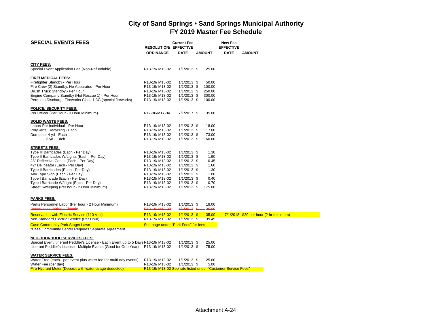| <b>SPECIAL EVENTS FEES</b>                                                                   |                                                             | <b>Current Fee</b> |               | New Fee          |                                         |
|----------------------------------------------------------------------------------------------|-------------------------------------------------------------|--------------------|---------------|------------------|-----------------------------------------|
|                                                                                              | <b>RESOLUTION/ EFFECTIVE</b>                                |                    |               | <b>EFFECTIVE</b> |                                         |
|                                                                                              | <b>ORDINANCE</b>                                            | <b>DATE</b>        | <b>AMOUNT</b> | DATE             | <b>AMOUNT</b>                           |
| <b>CITY FEES:</b>                                                                            |                                                             |                    |               |                  |                                         |
| Special Event Application Fee (Non-Refundable)                                               | R13-19/M13-02                                               | $1/1/2013$ \$      | 25.00         |                  |                                         |
| FIRE/ MEDICAL FEES:                                                                          |                                                             |                    |               |                  |                                         |
| Firefighter Standby - Per Hour                                                               | R13-19/M13-02                                               | $1/1/2013$ \$      | 50.00         |                  |                                         |
| Fire Crew (2) Standby, No Apparatus - Per Hour                                               | R13-19/M13-02                                               | $1/1/2013$ \$      | 100.00        |                  |                                         |
| Brush Truck Standby - Per Hour                                                               | R13-19/M13-02                                               | $1/1/2013$ \$      | 250.00        |                  |                                         |
| Engine Company Standby (Not Rescue 1) - Per Hour                                             | R13-19/M13-02                                               | $1/1/2013$ \$      | 300.00        |                  |                                         |
| Permit to Discharge Fireworks Class 1.3G (special fireworks)                                 | R13-19/M13-02                                               | $1/1/2013$ \$      | 100.00        |                  |                                         |
| <b>POLICE/ SECURITY FEES:</b>                                                                |                                                             |                    |               |                  |                                         |
| Per Officer (Per Hour - 3 Hour Minimum)                                                      | R17-36/M17-04                                               | 7/1/2017 \$        | 35.00         |                  |                                         |
| <b>SOLID WASTE FEES:</b>                                                                     |                                                             |                    |               |                  |                                         |
| Labor/ Per Individual - Per Hour                                                             | R13-19/M13-02                                               | $1/1/2013$ \$      | 18.00         |                  |                                         |
| PolyKarts/ Recycling - Each                                                                  | R13-19/M13-02                                               | $1/1/2013$ \$      | 17.00         |                  |                                         |
| Dumpster 4 yd - Each                                                                         | R13-19/M13-02                                               | $1/1/2013$ \$      | 73.00         |                  |                                         |
| 3 yd - Each                                                                                  | R13-19/M13-02                                               | $1/1/2013$ \$      | 60.00         |                  |                                         |
| <b>STREETS FEES:</b>                                                                         |                                                             |                    |               |                  |                                         |
| Type III Barricades (Each - Per Day)                                                         | R13-19/M13-02                                               | $1/1/2013$ \$      | 1.30          |                  |                                         |
| Type II Barricades W/Lights (Each - Per Day)                                                 | R13-19/M13-02                                               | $1/1/2013$ \$      | 1.90          |                  |                                         |
| 28" Reflective Cones (Each - Per Day)                                                        | R13-19/M13-02                                               | $1/1/2013$ \$      | 0.45          |                  |                                         |
| 42" Delineator (Each - Per Day)                                                              | R13-19/M13-02                                               | $1/1/2013$ \$      | 1.60          |                  |                                         |
| Type II Barricades (Each - Per Day)                                                          | R13-19/M13-02                                               | $1/1/2013$ \$      | 1.30          |                  |                                         |
| Any Type Sign (Each - Per Day)                                                               | R13-19/M13-02                                               | 1/1/2013 \$        | 1.00          |                  |                                         |
| Type I Barricade (Each - Per Day)                                                            | R13-19/M13-02                                               | $1/1/2013$ \$      | 0.40          |                  |                                         |
| Type I Barricade W/Light (Each - Per Day)                                                    | R13-19/M13-02                                               | $1/1/2013$ \$      | 0.70          |                  |                                         |
| Street Sweeping (Per hour - 2 Hour Minimum)                                                  | R13-19/M13-02                                               | $1/1/2013$ \$      | 175.00        |                  |                                         |
| <b>PARKS FEES:</b>                                                                           |                                                             |                    |               |                  |                                         |
|                                                                                              |                                                             | $1/1/2013$ \$      | 18.00         |                  |                                         |
| Parks Personnel Labor (Per hour - 2 Hour Minimum)<br><b>Reservation Without Electric</b>     | R13-19/M13-02<br>R <sub>13-19</sub> /M <sub>13-02</sub>     | $4/1/2013$ \$      | 25.00         |                  |                                         |
| <b>Reservation with Electric Service (110 Volt)</b>                                          | R13-19/M13-02                                               | $1/1/2013$ \$      | 35.00         |                  | $7/1/2018$ \$20 per hour (2 hr minimum) |
| Non-Standard Electric Service (Per Hour)                                                     | R13-19/M13-02                                               | $1/1/2013$ \$      | 39.45         |                  |                                         |
| <b>Case Community Park Stage/ Lawn</b><br>*Case Community Center Requires Separate Agreement | See page under "Park Fees" for fees                         |                    |               |                  |                                         |
|                                                                                              |                                                             |                    |               |                  |                                         |
| <b>NEIGHBORHOOD SERVICES FEES:</b>                                                           |                                                             |                    |               |                  |                                         |
| Special Event Itinerant Peddler's License - Each Event up to 5 Days R13-19/M13-02            |                                                             | $1/1/2013$ \$      | 25.00         |                  |                                         |
| Itinerant Peddler's License - Multiple Events (Good for One Year) R13-19/M13-02              |                                                             | $1/1/2013$ \$      | 75.00         |                  |                                         |
| <b>WATER SERVICE FEES:</b>                                                                   |                                                             |                    |               |                  |                                         |
| Water Tree (each - per event plus water fee for multi-day events)                            | R13-19/M13-02                                               | $1/1/2013$ \$      | 25.00         |                  |                                         |
| Water Fee (per day)                                                                          | R13-19/M13-02                                               | $1/1/2013$ \$      | 5.00          |                  |                                         |
| <b>Fire Hydrant Meter (Deposit with water usage deducted)</b>                                | R13-19/M13-02 See rate listed under "Customer Service Fees" |                    |               |                  |                                         |